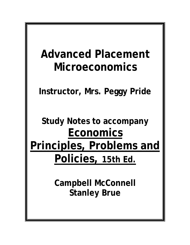# **Advanced Placement Microeconomics**

**Instructor, Mrs. Peggy Pride**

# **Study Notes to accompany Economics Principles, Problems and Policies, 15th Ed.**

**Campbell McConnell Stanley Brue**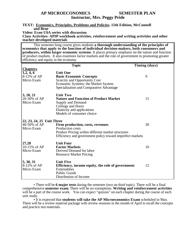**AP MICROECONOMICS SEMESTER PLAN**

**Instructor, Mrs. Peggy Pride**

## **TEXT: Economics, Principles, Problems and Policies, 15th Edition, McConnell and Brue**

**Video: Econ U\$A series with discussion**

**Class Activities: APIP workbook activities, reinforcement and writing activities and other teacher-developed materials**

This semester-long course gives students **a thorough understanding of the principles of economics that apply to the function of individual decision-makers, both consumers and producers, within larger economic systems**. It places primary emphasis on the nature and function of product markets. It also examines factor markets and the role of government in promoting greater efficiency and equity in the economy.

|                           | <b>Topic</b>                                              | Timing (days) |
|---------------------------|-----------------------------------------------------------|---------------|
| <b>Chapters</b>           |                                                           |               |
| 1,2,4,6                   | <b>Unit One</b>                                           |               |
| 8-12% of AP               | <b>Basic Economic Concepts</b>                            | 9             |
| Micro Exam                | <b>Scarcity and Opportunity Cost</b>                      |               |
|                           | Economic Systems: the Market System                       |               |
|                           | Specialization and Comparative Advantage                  |               |
| 3, 20, 21                 | <b>Unit Two</b>                                           |               |
| 20-30% of AP              | <b>Nature and Function of Product Market</b>              | 15            |
| Micro Exam                | Supply and Demand                                         |               |
|                           | Ceilings and floors                                       |               |
|                           | Elasticity and applications                               |               |
|                           | Models of consumer choice                                 |               |
| 22, 23, 24, 25 Unit Three |                                                           |               |
| 40-50% of AP              | Firm production, costs, revenues                          | 30            |
| Micro Exam                | Production costs                                          |               |
|                           | Product Pricing within different market structures        |               |
|                           | Efficiency and government policy toward imperfect markets |               |
|                           | <b>Unit Four</b>                                          |               |
| 27,28<br>10-15% of AP     | <b>Factor Markets</b>                                     | 10            |
| Micro Exam                | Derived Demand for labor                                  |               |
|                           | <b>Resource Market Pricing</b>                            |               |
|                           |                                                           |               |
| 5, 30, 31                 | <b>Unit Five</b>                                          |               |
| 8-12% of AP               | Efficiency, income equity, the role of government         | 12            |
| Micro Exam                | Externalities                                             |               |
|                           | <b>Public Goods</b>                                       |               |
|                           | Distribution of Income                                    |               |

• There will be **6 major tests** during the semester (two on third topic). There will be a final comprehensive **semester exam**. There will be no exemptions. **Writing and reinforcement activities** will be a part of the course work. You can expect "quizzes" on each chapter during the course of each unit study.

• It is expected that **students will take the AP Microeconomics Exam** scheduled in May. There will be a review material package with review sessions in the month of April to recall the concepts and practice test materials.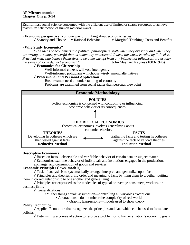**Economics**: social science concerned with the efficient use of limited or scarce resources to achieve maximum satisfaction of human material wants.

• **Economic perspective**: a unique way of thinking about economic issues Scarcity and Choice Rational Behavior Marginal Thinking: Costs and Benefits

#### • **Why Study Economics?**

*"The ideas of economists and political philosophers, both when they are right and when they are wrong, are more powerful than is commonly understood. Indeed the world is ruled by little else. Practical men, who believe themselves to be quite exempt from any intellectual influences, are usually the slaves of some defunct economist."* John Maynard Keynes (1883-1946)

#### **Economics for Citizenship**

Well-informed citizens will vote intelligently

Well-informed politicians will choose wisely among alternatives

#### **Professional and Personal Application**

Businessmen need an understanding of economy Problems are examined from social rather than personal viewpoint



#### **Descriptive Economics**

 Based on facts—observable and verifiable behavior of certain data or subject matter Economists examine behavior of individuals and institutions engaged in the production, exchange, and consumption of goods and services.

#### **Economic Principles (laws, models)**

Task of analysis is to systematically arrange, interpret, and generalize upon facts

 Principles and theories bring order and meaning to facts by tying them to together, putting them in correct relationship to one another and generalizing.

 Principles are expressed as the tendencies of typical or average consumers, workers, or business firms

**Generalizations** 

• "Other things equal" assumption—controlling all variables except one

- Abstractions—do not mirror the complexity of real world
	- Graphic Expressions—models used to show theory

## **Policy Economics**

 Applied Economics that recognizes the principles and data which can be used to formulate policies.

Determining a course of action to resolve a problem or to further a nation's economic goals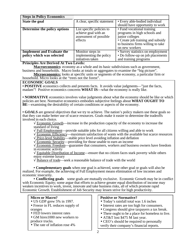| <b>Steps in Policy Economics</b>                               |                                                                                        |                                                                                                                                                                           |
|----------------------------------------------------------------|----------------------------------------------------------------------------------------|---------------------------------------------------------------------------------------------------------------------------------------------------------------------------|
| <b>State the goal</b>                                          | A clear, specific statement                                                            | • Every able-bodied individual<br>should have opportunity to work                                                                                                         |
| Determine the policy options                                   | List specific policies to<br>achieve goal with an<br>assessment of possible<br>effects | • Fund vocational training<br>programs in high schools and<br>junior colleges<br>• Create job training and subsidy<br>to business firms willing to take<br>on new workers |
| <b>Implement and Evaluate the</b><br>policy which was selected | Monitor steps in<br>implementing the policy<br>initiatives taken                       | • Survey statistics on employment<br>• Do follow-up on job placements<br>and training programs                                                                            |

#### **Principles Are Derived At Two Levels:**

**Macroeconomics**: economy as a whole and its basic subdivisions such as government, business and households. Macro looks at totals or aggregates to examine the "big picture".

**Microeconomics:** looks at specific units or segments of the economy, a particular firm or household. Micro looks at the "trees not the forest".

## **ECONOMIC GOALS**

**• POSITIVE** economics collects and presents facts. It avoids value judgments—"just the facts, madam"! Positive economics concerns **WHAT IS**—what the economy is really like.

**• NORMATIVE** economics involves value judgments about what the economy should be like or which policies are best. Normative economics embodies subjective feelings about **WHAT OUGHT TO BE**—examining the desirability of certain conditions or aspects of the economy.

**• GOALS** are general objectives that we try to achieve. The nation's policy makers use these goals so that they can make better use of scarce resources. Goals make it easier to determine the tradeoffs involved in each choice.

 Economic Growth—increase in the production capacity of the economy to increase the standard of living

Full Employment—provide suitable jobs for all citizens willing and able to work

 Economic Efficiency—maximum satisfaction of wants with the available but scarce resources Price-level Stability—stable price level avoiding inflation and deflation

Economic Security—providing for those unable to earn an income

 Economic Freedom—guarantee that consumers, workers and business owners have freedom in economic activity

 Equitable Distribution of Income—ensure that no citizen faces stark poverty while others enjoy extreme luxury

Balance of trade—seek a reasonable balance of trade with the world

**• Complementary goals** when one goal is achieved, some other goal or goals will also be realized. For example, the achieving of Full Employment means elimination of low incomes and economic insecurity.

**• Conflicting goals** some goals are mutually exclusive. Economic Growth may be in conflict with Economic Equity; some argue that efforts to achieve greater equal distribution of income may weaken incentives to work, invest, innovate and take business risks, all of which promote rapid Economic Growth. Establishment of Job Security may lessen strive for high productivity.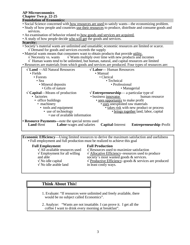#### **AP Microeconomics Chapter Two p. 22-25 Foundation of Economics:**

- Social Science concerned with how resources are used to satisfy wants—the economizing problem.
- Study of how people and countries use their resources to produce, distribute and consume goods and services.
- An examination of behavior related to how goods and services are acquired.
- A study of how people decide who will get the goods and services.

## **Scarcity:**

- Society's material wants are unlimited and unsatiable; economic resources are limited or scarce. Demand for goods and services exceeds the supply
- Material wants means that consumers want to obtain products that provide utility.
- Necessity vs. wants Wants multiply over time with new products and incomes Human wants tend to be unlimited, but human, natural, and capital resources are limited • Resources are materials from which goods and services are produced. Four types of resources are:
- **Resource Payments—**note the special terms used<br> **Land-Rent** Labor-wages and salaries **Labor-wages and salaries Capital-Interest Entrepreneurship-Profit Land** —All Natural Resources • Fields • Forests • Sea • Mineral deposits • Gifts of nature  **Labor**— Human Resources • Manual • Clerical • Technical • Professional • Managerial  **Capital**—Means of production • factories • office buildings • machinery • tools and equipment • use of technology • use of available information  **Entrepreneurship**— a particular type of • business innovator human resource • sees opportunity to make profit • uses unexploited raw materials • takes risk with new product or process • brings together land, labor, capital

**Economic Efficiency**—Using limited resources to derive the maximum satisfaction and usefulness • Full employment and full production must be realized to achieve this goal

**Full Employment**

 All available resources used Employment for all willing and able No idle capital No idle arable land

## **Full Production**

 Resources used to maximize satisfaction Allocative Efficiency–resources used to produce society's most wanted goods  $&$  services. Productive Efficiency–goods & services are produced in least costly ways.

# **Think About This!**

1. Evaluate: "If resources were unlimited and freely available, there would be no subject called Economics".

2. Analyze: "Wants are not insatiable. I can prove it. I get all the coffee I want to drink every morning at breakfast".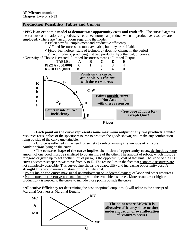## **Production Possibility Tables and Curves**

• **PPC is an economic model to demonstrate opportunity costs and tradeoffs**. The curve diagrams the various combinations of goods/services an economy can produce when all productive resources are employed. • There are 4 assumptions regarding the model:

 Efficiency: full employment and productive efficiency Fixed Resources: no more available, but they are shiftable Fixed Technology: state of technology does not change in the period Two Products: producing just two products (hypothetical, of course) • Necessity of Choice is created. Limited Resources means a Limited Output.<br> **TABLE:** A B C D E **TABLE: A B C D E PIZZA (000,000)** 0 1 2 3 4<br>**ROBOTS (000)** 10 9 7 4 0 **ROBOTS (000) See page 26 for a Key Graph Quiz! R o b o t s Pizza A C**  $\circ$ <sub>F</sub> **B D E W Points outside curve: Not Attainable with these resources Points inside curve: Inefficiency Points on the curve: Attainable & Efficient with these resources**

• **Each point on the curve represents some maximum output of any two products**. Limited resources (or supplies of the specific resource to produce the goods shown) will make any combination lying outside of the curve unattainable.

• **Choice** is reflected in the need for society to **select among the various attainable combinations** lying on the curve.

• **The concave shape of the curve implies the notion of opportunity costs, defined, as** some amount of one good must be sacrificed to obtain more of the other. The amount of robots, which must be foregone or given up to get another unit of pizza, is the opportunity cost of that unit. The slope of the PPC curves becomes steeper as we move from A to E. The reason lies in the fact that economic resources are not completely adaptable. This curved line shows the adaptability and increasing opportunity cost. A **straight line** would mean **constant opportunity cost**.

• Points **inside the curve** may signal unemployment or underemployment of labor and other resources. • Points **outside the curve** are unattainable with the available resources. More resources or higher productivity is needed to the curve to include those points outside the curve.

• **Allocative Efficiency** (or determining the best or optimal output-mix) will relate to the concept of Marginal Cost versus Marginal Benefit.



**The point where MC=MB is allocative efficiency since neither underallocation or overallocation of resources occurs.**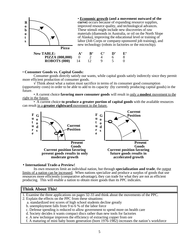

#### • **Consumer Goods vs. Capital Goods:**

Consumer goods directly satisfy our wants, while capital goods satisfy indirectly since they permit more efficient production of consumer goods.

 Think about what a nation must sacrifice in terms of its consumer good consumption (opportunity costs) in order to be able to add to its capacity (by currently producing capital goods) in the future.

• A current choice **favoring more consumer goods** will result in only a **modest** movement to the right in the future.

• A current choice **to produce a greater portion of capital goods** with the available resources can result in a **greater rightward** movement in the future.



#### • **International Trade-a Preview!**

Its own resources limit an individual nation, but through **specialization and trade**, the output limits of a nation can be increased. When nations specialize and produce a surplus of goods that use resources more efficiently (comparative advantage), they can trade for what they are not as efficient producing. This will enable a nation to obtain more goods than its PPC indicates.

## **Think About This!**

1. Examine the three applications on pages 32-33 and think about the movements of the PPC.

- 2. Explain the effects on the PPC from these situations:
	- a. standardized test scores of high school students decline greatly
	- b. unemployment falls from 9 to 6 % of the labor force
	- c. Defense spending is reduced to allow government to spend more on health care
	- d. Society decides it wants compact discs rather than new tools for factories
	- e. A new technique improves the efficiency of extracting copper from ore
	- f. A maturing of mini baby boom generation (born 1976-1982) increases the nation's workforce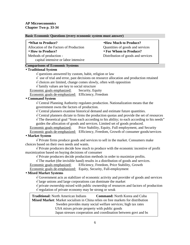#### **Basic Economic Questions (every economic system must answer)**

| • What to Produce?                                              | <b>.How Much to Produce?</b>                               |
|-----------------------------------------------------------------|------------------------------------------------------------|
| Allocation of the Factors of Production<br>• How to Produce?    | Quantities of goods and services<br>• For Whom to Produce? |
| Methods of production -<br>capital intensive or labor intensive | Distribution of goods and services                         |

## **Comparisons of Economic Systems**

#### • **Traditional System**

questions answered by custom, habit, religion or law

 use of trial and error, past decisions on resource allocation and production retained choices are limited, change comes slowly, often with opposition family values are key to social structure

Economic goals emphasized: Security, Equity

Economic goals de-emphasized: Efficiency, Freedom

## • **Command System**

 Central Planning Authority regulates production. Nationalization means that the government owns the factors of production.

Central planners examine historical demand and estimate future quantities.

 Central planners dictate to firms the production quotas and provide the set of resources The theoretical goal "from each according to his ability; to each according to his needs" guides the allocation of goods and services. Limited set of goods produced.

Economic goals emphasized: Price Stability, Equity, Full employment, and Security Economic goals de-emphasized: Efficiency, Freedom, Growth of consumer goods/services

#### • **Market System**

 Private firms produce goods and services to sell in the market. Consumers make choices based on their own needs and wants.

 Private producers decide how much to produce with the economic incentive of profit maximization based on buying decisions of consumer

Private producers decide production methods in order to maximize profits.

The market (the invisible hand) results in a distribution of goods and services.

Economic goals emphasized: Efficiency, Freedom, Price Stability, Growth

Economic goals de-emphasized: Equity, Security, Full-employment

#### • **Mixed Market Systems**

 Government acts as stabilizer of economic activity and provider of goods and services large unions and large corporations can dominate the market

 private ownership mixed with public ownership of resources and factors of production regulation of private economy may be strong or weak

**Traditional:** North American Indians **Command:** North Korea and Cuba **Mixed Market**: Market socialism in China relies on free markets for distribution Sweden provides many social welfare services; high tax rates USA mixes private property with public goods Japan stresses cooperation and coordination between govt and bs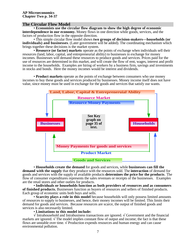## **The Circular Flow Model**

• **Economists use the circular flow diagram to show the high degree of economic interdependence in our economy.** Money flows in one direction while goods, services, and the factors of production flow in the opposite direction.

• This simple circular flow model shows **two groups of decision-makers—households (or individuals) and businesses**. (Later government will be added). The coordinating mechanism which brings together these decisions is the market system.

• **Resource (or factor) markets** operate as the points of exchange when individuals sell their resources (land, labor, capital, and entrepreneurial ability) to businesses in exchange for money incomes. Businesses will demand these resources to produce goods and services. Prices paid for the use of resources are determined in this market, and will create the flow of rent, wages, interest and profit income to the households. Examples are hiring of workers by a business firm, savings and investments in stocks and bonds. Here the money incomes would be interest and dividends.

• **Product markets** operate as the points of exchange between consumers who use money incomes to buy these goods and services produced by businesses. Money income itself does not have value, since money must be used in exchange for the goods and services that satisfy our wants.



• **Households create the demand** for goods and services, while **businesses can fill the demand with the supply** that they produce with the resources sold. The **interaction** of demand for goods and services with the supply of available products **determines the price for the products**. The flow of consumer expenditures represents the sales revenues or receipts of the businesses. Examples are the retail stores and other outlets for products.

• **Individuals or households function as both providers of resources and as consumers of finished products.** Businesses function as buyers of resources and sellers of finished products. Each group of economic units both buys and sells.

• **Scarcity plays a role in this model** because households will only possess limited amounts of resources to supply to businesses, and hence, their money incomes will be limited. This limits their demand for goods and services. Because resources are scarce, the output of finished goods and services is also necessarily limited.

#### • **Limitations to this model include:**

 Intrahousehold and Intrabusiness transactions are ignored. Government and the financial markets are ignored. The model implies constant flow of output and income; the fact is that these flows are unstable over time. Production expends resources and human energy and can cause environmental pollution.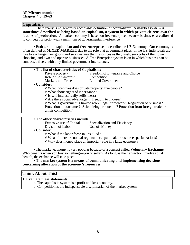## **Capitalism**

• There really is no generally acceptable definition of "capitalism". **A market system is sometimes described as being based on capitalism, a system in which private citizens own the factors of production.** A market economy is based on free enterprise, because businesses are allowed to compete for profit with a minimum of governmental interference.

• Both terms—**capitalism and free enterprise** —describe the US Economy. Our economy is often defined as **MIXED MARKET** due to the role that government plays. In the US, individuals are free to exchange their goods and services, use their resources as they wish, seek jobs of their own choosing, and own and operate businesses. A Free Enterprise system is on in which business can be conducted freely with only limited government interference.

| • The list of characteristics of Capitalism:                                     |                                  |  |  |
|----------------------------------------------------------------------------------|----------------------------------|--|--|
| Private property                                                                 | Freedom of Enterprise and Choice |  |  |
| Role of Self-Interest                                                            | Competition                      |  |  |
| <b>Markets and Prices</b>                                                        | <b>Limited Government</b>        |  |  |
| • Consider:                                                                      |                                  |  |  |
| What incentives does private property give people?                               |                                  |  |  |
| What about rights of inheritance?                                                |                                  |  |  |
| Is self-interest really selfishness?                                             |                                  |  |  |
| Are there social advantages in freedom to choose?                                |                                  |  |  |
| What is government's limited role? Legal framework? Regulation of business?      |                                  |  |  |
| Protection of consumer? Subsidizing production? Protection from foreign trade or |                                  |  |  |
| unfair competition?                                                              |                                  |  |  |
|                                                                                  |                                  |  |  |
| $\cdot$<br><b>COLUMN</b><br><b>The Community Community Community</b><br>4 H J    |                                  |  |  |

| • The other characteristics include:                                           |                                                            |  |  |  |
|--------------------------------------------------------------------------------|------------------------------------------------------------|--|--|--|
| Extensive use of Capital                                                       | Specialization and Efficiency                              |  |  |  |
| Division of Labor                                                              | Use of Money                                               |  |  |  |
| • Consider:                                                                    |                                                            |  |  |  |
| What if the labor force in unskilled?                                          |                                                            |  |  |  |
| What if there are no real regional, occupational, or resource specializations? |                                                            |  |  |  |
|                                                                                | Why does money place an important role in a large economy? |  |  |  |

• The market economy is very popular because of a concept called **Voluntary Exchange**. Who benefits when you buy something—you or seller? As long as the transaction involves dual benefit, the exchange will take place.

**• The market system is a means of communicating and implementing decisions concerning allocation of the economy's resources.** 

## **Think About This!**

1. **Evaluate these statements**

a. The capitalistic system is a profit and loss economy.

b. Competition is the indispensable disciplinarian of the market system.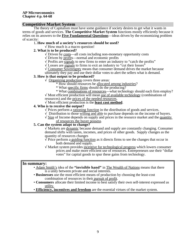## **Competitive Market System**

The theory of Capitalism must have some guidance if society desires to get what it wants in terms of goods and services. **The Competitive Market System** functions mostly efficiently because it relies on its answers to the **Five Fundamental Questions**—ideas driven by the economizing problem of scarcity:

## 1**. How much of a society's resources should be used?**

How much is a macro question!

## **2. What is to be produced?**

Driven by costs—all costs including non-monetary opportunity costs

Driven by profits—normal and economic profits

 Profits are signals to new firms to enter an industry to "catch the profits" Losses are signals to firms to exit an industry to "cut their losses"

Consumer Sovereignty means that consumer demand drives the market because

ultimately they pay and use their dollar votes to alert the sellers what is demand.

## **3. How is that output to be produced?**

Organizing production covers three areas:

- \* How should resources be allocated among industries?
- \* What specific firms should do the producing?

\* What combinations of resources—what technology should each firm employ? Most efficient production will mean use of available technology (combinations of resources) and the prices of the needed resources.

Most efficient production is the **least cost method**.

## **4. Who is to receive the output?**

Prices perform a rationing function in the distribution of goods and services.

Distribution to those willing and able to purchase depends on the income of buyers.

 Size of Income depends on supply and prices in the resource market and the quantity of resources the buyer possess.

## **5. Can the system adapt to change?**

 Markets are dynamic because demand and supply are constantly changing. Consumer demand shifts with tastes, incomes, and prices of other goods. Supply changes as the quantity of resources changes

 Price perform a guiding function as it directs firms to see the changes that occur in both demand and supply.

 Market system provides incentive for technological progress which lowers consumer prices and make more efficient use of resources. Entrepreneurs use their "dollar votes" for capital goods to spur these gains from technology.

## **In summary:**

- Adam Smith's idea of the **"invisible hand"** in The Wealth of Nations means that there is a unity between private and social interests.
- **Businesses** use the most efficient means of production by choosing the least-cost combination of resources in their pursuit of profit.
- **Consumers** allocate their limited income to best satisfy their own self-interest expressed as utility.
- **Efficiency, incentives and freedom** are the essential virtues of the market system.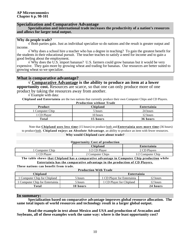## **Specialization and Comparative Advantage**

**Specialization and international trade increases the productivity of a nation's resources and allows for larger total output.**

#### **Why do people trade?**

 Both parties gain. Just as individual specialize so do nations and the result is greater output and income.

 Why does a school hire a teacher who has a degree in teaching? To gain the greatest benefit for the students in their educational pursuit. The teacher teaches to satisfy a need for income and to gain a good feeling about the employment.

Why does the U.S. import bananas? U.S. farmers could grow bananas but it would be very expensive. They gain more by growing wheat and trading for bananas. Our resources are better suited to growing wheat so we specialize.

#### **What is comparative advantage?**

# **Comparative Advantage is the ability to produce an item at a lower**

**opportunity cost.** Resources are scarce, so that one can only produce more of one product by taking the resources away from another.

Example with data:

**Chipland and Entertainia** are the two nations that currently produce their own Computer Chips and CD Players.  **Production without Trade**

| Product         | Chipland | Entertainia |
|-----------------|----------|-------------|
| 1 Computer Chip | 5 hours  | 24 hours    |
| CD Plaver       | 10 hours | 12 hours    |
| Total           | 15 hours | 36 hours    |

Note that **Chipland uses less time** (15 hours) to produce both and **Entertainia uses more time** (36 hours) to produce both . **Chipland enjoys an Absolute Advantage**, an ability to produce an item with fewer resources. **Why would Chipland care about trade?**

#### **Opportunity Cost of production**

|               | <b>Chipland</b>  | Entertainia       |
|---------------|------------------|-------------------|
| Computer Chip | 1/2 CD Plaver    | 2 CD Players      |
| CD Plaver     | 2 Computer Chips | 1/2 Computer Chip |

**The table shows that Chipland has a comparative advantage in Computer Chip production while Entertainia has the comparative advantage in the production of CD Players.** 

**These nations can benefit from trade.**

| Chipland                        |          | Entertainia                 |          |
|---------------------------------|----------|-----------------------------|----------|
| Computer Chip for Chipland      | 5 hours  | 1 CD Player for Entertainia | 12 hours |
| l Computer Chip for Entertainia | 5 hours  | 1 CD Player for Chipland    | 12 hours |
| Total                           | 10 hours |                             | 24 hours |

#### **In summary:**

**Specialization based on comparative advantage improves global resource allocation. The same total inputs of world resources and technology result in a larger global output.**

**Read the example in text about Mexico and USA and production of Avocados and Soybeans, all of these examples work the same way: where is the least opportunity cost?**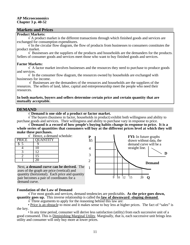## **Markets and Prices**

#### **Product Markets:**

 A product market is the different transactions through which finished goods and services are exchanged for consumption expenditures.

 In the circular flow diagram, the flow of products from businesses to consumers constitutes the product market.

 Businesses are the suppliers of the products and households are the demanders for the products. Sellers of consumer goods and services meet those who want to buy finished goods and services.

#### **Factor Markets:**

 A factor market involves businesses and the resources they need to purchase to produce goods and services.

 In the consumer flow diagram, the resources owned by households are exchanged with businesses for income.

 Businesses are the demanders of the resources and households are the suppliers of the resources. The sellers of land, labor, capital and entrepreneurship meet the people who need their resources.

#### **In both markets, buyers and sellers determine certain price and certain quantity that are mutually acceptable.**

## **DEMAND**

#### **Demand is one side of a product or factor market.**

 The buyers (business in factor, households in product) exhibit both willingness and ability to purchase goods and services. Their willingness and ability to purchase vary in response to price.

**Demand is a record of how people's buying habits change in response to price. It is a whole series of quantities that consumers will buy at the different prices level at which they will make these purchases.**

 Hence, a demand schedule: PRICE | OUANTITY  $\sqrt[5]{5}$  9  $\frac{4}{3}$  10 12 2 15 1 20

Next, **a demand curve can be derived.** The axes of the graph are price (vertical) and quantity (horizontal). Each price and quantity pair becomes a pair of coordinates for a demand curve.



## **Foundation of the Law of Demand**

 For most goods and services, demand tendencies are predictable**. As the price goes down, quantity goes up.** This inverse relationship is called the **law of downward -sloping demand**.

Three arguments to apply for the reasoning behind this law are:

• Price is an obstacle to most and it makes sense to buy less at higher prices. The fact of "sales" is the key.

• In any time period, consumer will derive less satisfaction (utility) from each successive unit of a good consumed. This is *Diminishing Marginal Utility*. Marginally, that is, each successive unit brings less utility and consumer will only buy more at lower prices.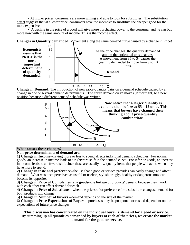• At higher prices, consumers are more willing and able to look for substitutes. The substitution effect suggests that at a lower price, consumers have the incentive to substitute the cheaper good for the more expensive.

• A decline in the price of a good will give more purchasing power to the consumer and he can buy more now with the same amount of income. This is the income effect.



## **Non-price determinants of demand are:**

**1) Change in Income**--having more or less to spend affects individual demand schedules. For normal goods, an increase in income leads to a rightward shift in the demand curve. For inferior goods, an increase in income leads to a leftward shift since these are usually low-quality items that people will avoid when they have more to spend.

**2) Change in taste and preference--**the use that a good or service provides can easily change and affect demand. What was once perceived as useful or useless, stylish or ugly, healthy or dangerous now can become its opposite.

**3) Change in Price of Complementary goods**--the linkage of products' demand because they "work" with each other can affect demand for each

**4) Change in Price of Substitutes**--when the prices of or preference for a substitute changes, demand for both products will change.

**5) Change in Number of buyers** --demand depends on the size of the market.

6) **Change in Price Expectations of Buyers—**purchases may be postponed or rushed dependent on the expectations of future price changes

#### **This discussion has concentrated on the individual buyer's demand for a good or service. By summing up all quantities demanded by buyers at each of the prices, we create the market demand for the good or service.**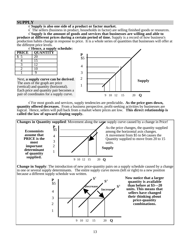## **SUPPLY**

**Supply is also one side of a product or factor market.**

 The sellers (business in product, households in factor) are selling finished goods or resources. **Supply is the amount of goods and services that businesses are willing and able to produce at different prices during a certain period of time.** Supply is a record of how business's production habits change in response to price. It is a whole series of quantities that businesses will offer at the different price levels.

| Hence, a supply schedule: |                 |  |  |
|---------------------------|-----------------|--|--|
| PRICE                     | <b>QUANTITY</b> |  |  |
|                           |                 |  |  |
|                           | 15              |  |  |
|                           |                 |  |  |
|                           |                 |  |  |
|                           |                 |  |  |



The axes of the graph are price (vertical) and quantity (horizontal). Each price and quantity pair becomes a pair of coordinates for a supply curve.

Next, **a supply curve can be derived**.

 For most goods and services, supply tendencies are predictable**. As the price goes down, quantity offered decreases.** From a business perspective, profit-seeking activities by businesses are logical. Hence, sellers will pull back from a market where prices are low. **This direct relationship is called the law of upward-sloping supply.**



**Change in Supply**: The introduction of new price-quantity pairs on a supply schedule caused by a change in one or several supply determinants. The entire supply curve moves (left or right) to a new position because a different supply schedule was written.

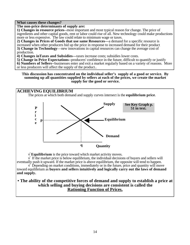#### **What causes these changes?**

**The non-price determinants of supply are:**

**1) Changes in resource prices**--most important and most typical reason for change. The price of ingredients and other capital goods, rent or labor could rise of all. New technology could make productions more or less expensive. The law could relate to minimum wage or taxes.

**2) Changes in Prices of Goods that use same Resources—**a demand for a specific resource is increased when other producers bid up the price in response to increased demand for their product **3) Change in Technology**—new innovations in capital resources can change the average cost of production.

**4) Changes inTaxes and Subsidies—**taxes increase costs; subsidies lower costs.

**5) Change in Price Expectations**--producers' confidence in the future, difficult to quantify or justify

**6) Numbers of Sellers--**businesses enter and exit a market regularly based on a variety of reasons. More

or less producers will affect the supply of the product..

**This discussion has concentrated on the individual seller's supply of a good or service. By summing up all quantities supplied by sellers at each of the prices, we create the market supply for the good or service.**

## **ACHIEVING EQUILIBRIUM**

The prices at which both demand and supply curves intersect is the **equilibrium price**. **P r i c e Quantity Supply Equilibrium Demand p q See Key Graph p. 51 in text.**

**Equilibrium** is the price toward which market activity moves.

 If the market price is below equilibrium, the individual decisions of buyers and sellers will eventually push it upward. If the market price is above equilibrium, the opposite will tend to happen.

 Depending on market conditions, immediately or in the future, price and quantity will move toward equilibrium as **buyers and sellers intuitively and logically carry out the laws of demand and supply.**

# **• The ability of the competitive forces of demand and supply to establish a price at which selling and buying decisions are consistent is called the Rationing Function of Prices.**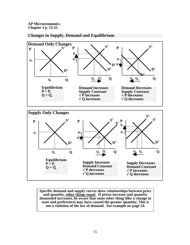**AP Microeconomics Chapter 3 p. 52-55**

> $P = P_e$  $\dot{\mathbf{Q}} = \dot{\mathbf{Q}}_{\mathrm{e}}$



## **Changes in Supply, Demand and Equilibrium**

**Specific demand and supply curves show relationships between price and quantity, other things equal. If prices increase and quantity demanded increases, be aware that some other thing (like a change in taste and preference) may have caused the greater quantity. This is not a violation of the law of demand. See example on page 54.**

**Demand Constant P decreases Q increases**

**Demand Constant P increases Q decreases**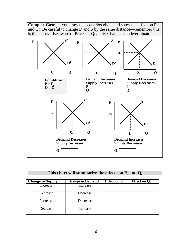

**This chart will summarize the effects on P<sup>e</sup> and Q<sup>e</sup>**

| <b>Change in Supply</b> | <b>Change in Demand</b> | Effect on $P_{\alpha}$ | <b>Effect on Q.</b> |
|-------------------------|-------------------------|------------------------|---------------------|
| Increase                | Increase                |                        |                     |
| Decrease                | Decrease                |                        |                     |
| Increase                | Decrease                |                        |                     |
| Decrease                | Increase                |                        |                     |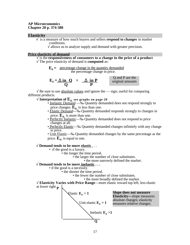#### **Elasticity**

 is a measure of how much buyers and sellers **respond to changes** in market conditions.

allows us to analyze supply and demand with greater precision.

#### **Price elasticity of demand**

 is the **responsiveness of consumers to a change in the price of a product** The price elasticity of demand is **computed** as:

 $E_d$  = percentage change in the quantity demanded the percentage change in price.

$$
\mathbf{E}_{\mathbf{d}} = \frac{\mathbf{in} \ \mathbf{Q}}{\mathbf{Q}} \div \frac{\mathbf{in} \ \mathbf{P}}{\mathbf{P}}
$$
 Q and P are the original amounts

 Be sure to use absolute values and ignore the — sign; useful for comparing different products.

- **Interpretation of**  $\mathbf{E}_{d}$ **: see graphs on page 20** 
	- Inelastic Demand —‰ Quantity demanded does not respond strongly to price changes. **Ed:** is less than one.
	- Elastic Demand—‰ Quantity demanded responds strongly to changes in price. **Ed:** is more than one.
	- Perfectly Inelastic—‰ Quantity demanded does not respond to price changes at all.
	- Perfectly Elastic—‰ Quantity demanded changes infinitely with any change in price.

• Unit Elastic—‰ Quantity demanded changes by the same percentage as the price.  $\mathbf{E}_d$ , is equal to one.

#### **Demand tends to be more elastic** . . .

- if the good is a luxury.
	- the longer the time period.
		- the larger the number of close substitutes.

• the more narrowly defined the market.

#### **Demand tends to be more inelastic . . .**

• if the good is a necessity.

- the shorter the time period.
	- the fewer the number of close substitutes.
		- the more broadly defined the market.

**Elasticity Varies with Price Range**—more elastic toward top left; less elastic at lower right **P**

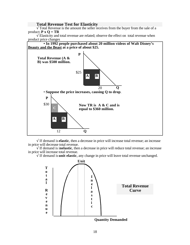## **Total Revenue Test for Elasticity**

 Total Revenue is the amount the seller receives from the buyer from the sale of a product;  $P \times Q = TR$ 

 Elasticity and total revenue are related; observe the effect on total revenue when product price changes



 If demand is **elastic**, then a decrease in price will increase total revenue; an increase in price will decrease total revenue.

 If demand is i**nelastic**, then a decrease in price will reduce total revenue; an increase in price will increase total revenue.

If demand is **unit elastic**, any change in price will leave total revenue unchanged.

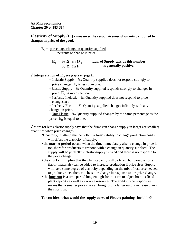## **Elasticity of Supply (E<sup>s</sup> ) - measures the responsiveness of quantity supplied to changes in price of the good.**

 $\mathbf{E}_s$  = percentage change in quantity supplied percentage change in price

$$
E_s = \frac{\%}{\%} \quad \text{in } \Omega_s
$$
   
Law of Supply tells us this number  
is generally positive.

#### **Interpretation of**  $\mathbf{E}_{\text{s}}$ **: see graphs on page 21**

- Inelastic Supply—‰ Quantity supplied does not respond strongly to price changes. **E<sup>s</sup>** is less than one.
- Elastic Supply—‰ Quantity supplied responds strongly to changes in price.  $\mathbf{E}_{\rm st}$  is more than one.
- Perfectly Inelastic—‰ Quantity supplied does not respond to price changes at all.
- Perfectly Elastic—‰ Quantity supplied changes infinitely with any change in price.

• Unit Elastic—‰ Quantity supplied changes by the same percentage as the price.  $\mathbf{E}_s$  is equal to one.

More (or less) elastic supply says that the firms can change supply in larger (or smaller) quantities when price changes.

- •Generally, *anything* that can effect a firm's ability to change production easily will effect the elasticity of supply.
- the **market period** occurs when the time immediately after a change in price is too short for producers to respond with a change in quantity supplied. The supply will be perfectly inelastic-supply is fixed and there is no response to the price change.
- the **short run** implies that the plant capacity will be fixed, but variable costs (labor, materials) can be added to increase production if price rises. Supply will have some degree of elasticity depending on the mix of resource needed to produce, since there can be some change in response to the price change.
- the **long run** is a time period long enough for the firm to adjust both its fixed plant capacity as well as variable resources. The ability to be responsive means that a smaller price rise can bring forth a larger output increase than in the short run.

#### **To consider: what would the supply curve of Picasso paintings look like?**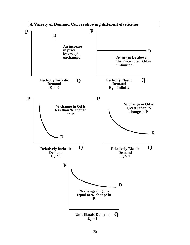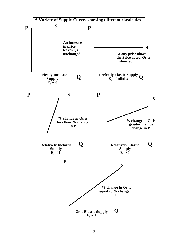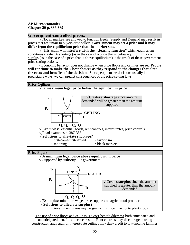#### **Government-controlled prices:**

 Not all markets are allowed to function freely. Supply and Demand may result in prices that are unfair to buyers or to sellers. **Government may set a price and it may differ from the equilibrium price that the market sets**.

 This action will **interfere with the "clearing function"** which equilibrium conditions create. A shortage (as in the case of a price that is below equilibrium) or a surplus (as in the case of a price that is above equilibrium) is the result of these government price setting actions.

• Economic behavior does not change when price floors and ceilings are set**. People will continue to make their best choices as they respond to the changes that alter the costs and benefits of the decision**. Since people make decisions usually in predictable ways, we can predict consequences of the price-setting laws.





The use of price floors and ceilings is a cost-benefit dilemma-both anticipated and unanticipated benefits and costs result. Rent controls may discourage housing construction and repair or interest-rate ceilings may deny credit to low-income families.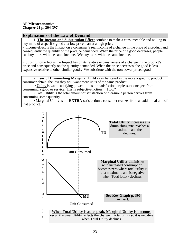## **Explanations of the Law of Demand**

1. **The Income and Substitution Effect** combine to make a consumer able and willing to buy more of a specific good at a low price than at a high price.

• Income effect is the Impact on a consumer's real income of a change in the price of a product and consequently the quantity of the produce demanded. When the price of a good decreases, people can buy more with the same income. We buy more with the same income.

• Substitution effect is the Impact has on its relative expansiveness of a change in the product's price and consequently on the quantity demanded. When the price decreases, the good is less expensive relative to other similar goods. We substitute with the now lower priced good.

2. **Law of Diminishing Marginal Utility** can be stated as the more a specific product consumer obtain, the less they will want more units of the same product.

 • Utility is want-satisfying power— it is the satisfaction or pleasure one gets from consuming a good or service. This is subjective notion. How?

• Total Utility is the total amount of satisfaction or pleasure a person derives from consuming some quantity

• Marginal Utility is the **EXTRA** satisfaction a consumer realizes from an additional unit of that product.

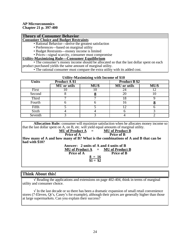#### **AP Microeconomics Chapter 21 p. 397-400**

## **Theory of Consumer Behavior**

## **Consumer Choice and Budget Restraints**

- Rational Behavior—derive the greatest satisfaction
- Preferences—based on marginal utility
- Budget Restraints—money income is limited
- Prices—signal scarcity, consumer must compromise

## **Utility-Maximizing Rule—Consumer Equilibrium**

• The consumer's money income should be allocated so that the last dollar spent on each product purchased yields the same amount of marginal utility.

| • The rational consumer must compare the extra utility with its added cost. |  |  |
|-----------------------------------------------------------------------------|--|--|

| <b>Units</b> | <b>Product A \$1</b> |       | <b>Product B \$2</b> |       |
|--------------|----------------------|-------|----------------------|-------|
|              | <b>MU</b> or utils   | MU/\$ | <b>MU</b> or utils   | MU/\$ |
| First        |                      |       | 24                   |       |
| Second       |                      |       | 20                   |       |
| Third        |                      |       |                      |       |
| Fourth       |                      |       |                      |       |
| Fifth        |                      |       |                      |       |
| Sixth        |                      |       |                      |       |
| Seventh      |                      |       |                      |       |

#### **Utility-Maximizing with Income of \$10**

**Allocation Rule:** consumer will maximize satisfaction when he allocates money income so that the last dollar spent on A, on B, etc. will yield equal amounts of marginal utility.

$$
MU of Product A =
$$

**MU of Product A = MU of Product B**

**Price of A How many of A and how many of B? What is the combinations of A and B that can be had with \$10?**

| Answer: 2 units of A and 4 units of B |                   |
|---------------------------------------|-------------------|
| $MU$ of Product A $= MU$ of Product B |                   |
| <b>Price of A</b>                     | <b>Price of B</b> |
| $8 = 16$                              |                   |
| $\$1 = \$2$                           |                   |

# **Think About this!**

 Reading the applications and extensions on page 402-404, think in terms of marginal utility and consumer choice.

 In the last decade or so there has been a dramatic expansion of small retail convenience stores (7-Eleven, Qt's, Casey's for example), although their prices are generally higher than those at large supermarkets. Can you explain their success?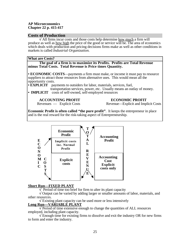#### **AP Microeconomics Chapter 22 p. 415-417**

#### **Costs of Production**

 All firms incur costs and those costs help determine how much a firm will produce as well as how high the price of the good or service will be. The area of economics which deals with production and pricing decisions firms make as well as other conditions in markets is called *Industrial Organization.*

#### **What are Costs?**

**The goal of a firm is to maximize its Profits. Profits are Total Revenue minus Total Costs. Total Revenue is Price times Quantity. • ECONOMIC COSTS**—payments a firm must make, or income it must pay to resource suppliers to attract those resources from alternative uses. This would mean all the opportunity costs.<br>• **EXPLICIT** pay payments to outsiders for labor, materials, services, fuel, transportation services, power, etc. Usually means an outlay of money.

• **IMPLICIT** costs of self-owned, self-employed resources

**ACCOUNTING PROFIT<br>
Revenues — Explicit Costs<br>
<b>ECONOMIC PROFIT**<br>
Revenue—Explicit and Imp Revenue—Explicit and Implicit Costs

**Economic Profit is often called "the pure profit"**. It keeps the entrepreneur in place and is the real reward for the risk-taking aspect of Entrepreneurship.



## **Short Run—FIXED PLANT**

Period of time too brief for firm to alter its plant capacity

 Output can be varied by adding larger or smaller amounts of labor, materials, and other resources.

 Existing plant capacity can be used more or less intensively **Long Run—VARIABLE PLANT**

 Period of time extensive enough to change the quantities of ALL resources employed, including plant capacity.

 Enough time for existing firms to dissolve and exit the industry OR for new firms to form and enter the industry.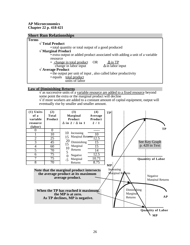#### **Short Run Relationships Terms Total Product** • total quantity or total output of a good produced **Marginal Product** • extra output or added product associated with adding a unit of a variable resource • change in total product OR in TP<br>change in labor input in labor input change in labor input **Average Product** • the output per unit of input, also called labor productivity • equals total product units of labor

#### **Law of Diminishing Returns**

 as successive units of a variable resource are added to a fixed resource beyond some point the extra or the marginal product will decline

 if more workers are added to a constant amount of capital equipment, output will eventually rise by smaller and smaller amount.

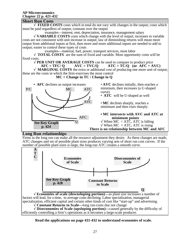#### **AP Microeconomics Chapter 22 p. 421-432**

## **Short Run Costs**

**FIXED COSTS** costs which in total do not vary with changes in the output; costs which must be paid regardless of output; constant over the output

examples—interest, rent, depreciation, insurance, management salary

**VARIABLE COSTS** costs which change with the level of output; increases in variable costs are not consistent with unit increase in output; law of diminishing returns will mean more output from additional inputs at first, then more and more additional inputs are needed to add to output; easier to control these types of costs

examples—material, fuel, power, transport services, most labor

 **TOTAL COSTS** are the sum of fixed and variable. Most opportunity costs will be fixed costs.

**PER UNIT OR AVERAGE COSTS** can be used to compare to product price<br>AFC = TFC/O AVC = TVC/O ATC = TC/O (or AFC + A)  $AVC = TVC/O$   $ATC = T\dot{C}/O$  (or  $AF\dot{C} + AVC$ ) **MARGINAL COSTS** the extra or additional cost of producing one more unit of output; these are the costs in which the firm exercises the most control

**MC = Change in TC / Change in Q**



## **Long Run relationships**

Firms in the long run can make all the resource adjustment they desire. As these changes are made, ATC changes and set of possible plant sizes produces varying sets of short run cost curves. If the number of possible plant sizes is large, the long-run ATC creates a smooth curve.



## **Read the applications on page 431-432 to understand economies of scale.**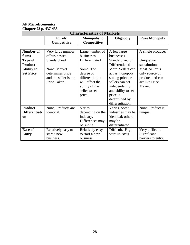# **AP MicroEconomics Chapter 23 p. 437-438**

| <b>Characteristics of Markets</b> |                              |                             |                    |                      |  |  |  |
|-----------------------------------|------------------------------|-----------------------------|--------------------|----------------------|--|--|--|
|                                   | <b>Purely</b><br>Competitive | Monopolistic<br>Competitive | <b>Oligopoly</b>   | <b>Pure Monopoly</b> |  |  |  |
|                                   |                              |                             |                    |                      |  |  |  |
| Number of                         | Very large number            | Large number of             | A few large        | A single producer    |  |  |  |
| firms                             | of businesses                | businesses                  | businesses         |                      |  |  |  |
| Type of                           | Standardized                 | Differentiated              | Standardized or    | Unique; no           |  |  |  |
| <b>Product</b>                    |                              |                             | Differentiated     | substitutions        |  |  |  |
| <b>Ability to</b>                 | None. Market                 | Some. The                   | More. Sellers can  | Most. Seller is      |  |  |  |
| <b>Set Price</b>                  | determines price             | degree of                   | act as monopoly    | only source of       |  |  |  |
|                                   | and the seller is the        | differentiation             | setting price or   | product and can      |  |  |  |
|                                   | Price Taker.                 | will affect the             | sellers can act    | act like Price       |  |  |  |
|                                   |                              | ability of the              | independently      | Maker.               |  |  |  |
|                                   |                              | seller to set               | and ability to set |                      |  |  |  |
|                                   |                              | price.                      | price is           |                      |  |  |  |
|                                   |                              |                             | determined by      |                      |  |  |  |
|                                   |                              |                             | differentiation.   |                      |  |  |  |
| <b>Product</b>                    | None. Products are           | Varies                      | Varies. Some       | None. Product is     |  |  |  |
| <b>Differentiati</b>              | identical.                   | depending on the            | industries may be  | unique.              |  |  |  |
| on                                |                              | industry.                   | identical; others  |                      |  |  |  |
|                                   |                              | Differences may             | may be             |                      |  |  |  |
|                                   |                              | be subtle.                  | differentiated.    |                      |  |  |  |
| <b>Ease of</b>                    | Relatively easy to           | Relatively easy             | Difficult. High    | Very difficult.      |  |  |  |
| Entry                             | start a new                  | to start a new              | start-up costs.    | Significant          |  |  |  |
|                                   | business.                    | business                    |                    | barriers to entry.   |  |  |  |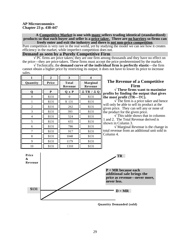#### **AP Microeconomics Chapter 23 p. 438-447**

#### **A Competitive Market is one with many sellers trading identical (standardized) products so that each buyer and seller is a price taker. There are no barriers so firms can freely enter and exit the industry and there is not non-price competition**.

Pure competition is very rare in the real world, yet by studying the model we can see how it creates efficiency in the market, while imperfect competition does not.

# **Demand as seen by a Purely Competitive Firm**

 PC firms are price takers; they are one firm among thousands and they have no effect on the price—they are price-takers. These firms must accept the price predetermined by the market.

 Technically, the **demand curve of the individual firm is perfectly elastic**—the firm cannot obtain a higher price by restricting its output; it does not have to lower its price to increase sales.

| $\mathbf{1}$   | $\overline{2}$ | 3                       | $\overline{\mathbf{4}}$    |
|----------------|----------------|-------------------------|----------------------------|
| Quantity       | Price          | <b>Total</b><br>Revenue | <b>Marginal</b><br>Revenue |
| Q              | P              | $Q \times P$            | TR/<br>Q                   |
| $\overline{0}$ | \$131          | 0                       | \$131                      |
| 1              | \$131          | \$<br>131               | \$131                      |
| $\overline{c}$ | \$131          | 262                     | \$131                      |
| 3              | \$131          | 393                     | \$131                      |
| 4              | \$131          | 524                     | \$131                      |
| 5              | \$131          | 655                     | \$131                      |
| 6              | \$131          | 786                     | \$131                      |
| 7              | \$131          | 917                     | \$131                      |
| 8              | \$131          | 1048                    | \$131                      |
| 9              | \$131          | 1179                    | \$131                      |
| 10             | \$131          | 1310                    | \$131                      |

## **The Revenue of a Competitive Firm**

 **These firms want to maximize profits by finding the output that gives the most profit (TR—TC).**

 The firm is a price taker and hence will only be able to sell its product at the given price. They can sell any or none of the product for the given price.

 This table shows that in columns 1 and 2. The Total Revenue derived is shown in Column 3.

 Marginal Revenue is the change in total revenue from an additional unit sold in Column 4.



**Quantity Demanded (sold)**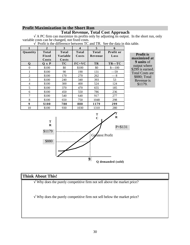# **Profit Maximization in the Short Run**

## **Total Revenue, Total Cost Approach**

 A PC firm can maximize its profits only by adjusting its output. In the short run, only variable costs can be changed, not fixed costs.

|                | $\overline{2}$ | 3               | 4            | 5            | 6         |                                  |
|----------------|----------------|-----------------|--------------|--------------|-----------|----------------------------------|
| Quantity       | <b>Total</b>   | <b>Total</b>    | <b>Total</b> | <b>Total</b> | Profit or |                                  |
|                | Fixed          | <b>Variable</b> | Costs        | Revenue      | Loss      | <b>Profit is</b><br>maximized at |
|                | Costs          | Costs           |              |              |           | 9 units of                       |
| $\mathbf Q$    | 0 x P          | <b>TC</b>       | $FC+VC$      | TR           | $TR - TC$ |                                  |
| $\theta$       | \$100          | \$0             | \$100        | \$0          | $$ -100$  | output where<br>\$299 is earned. |
| 1              | \$100          | 90              | 190          | 131          | $-59$     | <b>Total Costs are</b>           |
| $\overline{2}$ | \$100          | 170             | 270          | 262          | $-8$      | \$880; Total                     |
| 3              | \$100          | 240             | 340          | 393          | 53        | Revenue is                       |
| $\overline{4}$ | \$100          | 300             | 400          | 524          | 124       | \$1179.                          |
| 5              | \$100          | 370             | 470          | 655          | 185       |                                  |
| 6              | \$100          | 450             | 550          | 786          | 236       |                                  |
| $\overline{7}$ | \$100          | 540             | 640          | 917          | 277       |                                  |
| 8              | \$100          | 650             | 750          | 1048         | 298       |                                  |
| 9              | \$100          | 780             | 880          | 1179         | 299       |                                  |
| 10             | \$100          | 930             | 1030         | 1310         | 280       |                                  |
|                |                |                 |              | т            |           |                                  |

Profit is the difference between TC and TR. See the data in this table.



# **Think About This!**

Why does the purely competitive firm not sell above the market price?

Why does the purely competitive firm not sell below the market price?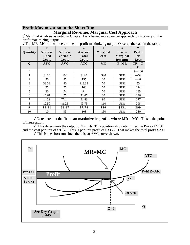## **Profit Maximization in the Short Run**

## **Marginal Revenue, Marginal Cost Approach**

Marginal Analysis as noted in Chapter 1 is a better, more precise approach to discovery of the profit maximizing output.

| 1                | $\mathbf{2}$     | 3                   | $\overline{\mathbf{4}}$ | 5               | 6                          | 7           |
|------------------|------------------|---------------------|-------------------------|-----------------|----------------------------|-------------|
| Quantity         | Average<br>Fixed | Average<br>Variable | Average<br>Total        | <b>Marginal</b> | $Price =$                  | Profit      |
|                  | Costs            | Costs               | Costs                   | cost            | <b>Marginal</b><br>Revenue | <b>or</b>   |
|                  |                  |                     |                         |                 |                            | Loss        |
| Q                | AFC              | <b>AVC</b>          | <b>ATC</b>              | <b>MC</b>       | $P=MR$                     | $TR - T$    |
|                  |                  |                     |                         |                 |                            | $\mathbf C$ |
| $\mathbf{0}$     |                  |                     |                         |                 |                            | $$ -100$    |
|                  | \$100            | \$90                | \$190                   | \$90            | \$131                      | $-59$       |
| $\mathfrak{D}$   | 50               | 85                  | 135                     | 80              | \$131                      | $-8$        |
| 3                | 33.33            | 80                  | 113.33                  | 70              | \$131                      | 53          |
| 4                | 25               | 75                  | 100                     | 60              | \$131                      | 124         |
| 5                | 20               | 74                  | 94                      | 70              | \$131                      | 185         |
| 6                | 16.67            | 75                  | 91.67                   | 80              | \$131                      | 236         |
| 7                | 14.29            | 77.14               | 91.43                   | 90              | \$131                      | 277         |
| 8                | 12.50            | 81.25               | 93.75                   | 110             | \$131                      | 298         |
| $\boldsymbol{9}$ | 11.11            | 86.67               | 97.78                   | 130             | \$131                      | 299         |
| 10               | 10               | 93                  | 103                     | 150             | \$131                      | 280         |

The MR=MC rule will determine the profit maximizing output. Observe the data in the table:

Note here that the **firm can maximize its profits where**  $MR = MC$ . This is the point of intersection.

 This determines the output of **9 units**. This position also determines the Price of \$131 and the cost per unit of \$97.78. This is per unit profit of \$33.22. That makes the total profit \$299. This is the short run since there is an AVC curve shown.

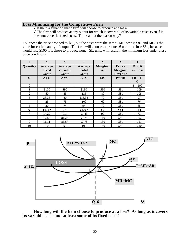## **Loss Minimizing for the Competitive Firm**

Is there a situation that a firm will choose to produce at a loss?

 The firm will produce at any output for which it covers all of its variable costs even if it does not cover its fixed costs. Think about the reason why?

• Suppose the price dropped to \$81, but the costs were the same. MR now is \$81 and MC is the same for each quantity of output. The firm will choose to produce 6 units and lose \$64, because it would lose \$100 if it chose to produce none. Six units will result in the minimum loss under these price conditions.

| 1        | $\mathbf{2}$     | 3                   | $\overline{\mathbf{4}}$ | $\overline{5}$   | 6                     | 7                 |
|----------|------------------|---------------------|-------------------------|------------------|-----------------------|-------------------|
| Quantity | Average<br>Fixed | Average<br>Variable | Average<br>Total        | Marginal<br>cost | $Price =$<br>Marginal | Profit<br>or Loss |
|          | Costs            | Costs               | Costs                   |                  | Revenue               |                   |
| Q        | <b>AFC</b>       | <b>AVC</b>          | <b>ATC</b>              | <b>MC</b>        | $P=MR$                | $TR - T$          |
|          |                  |                     |                         |                  |                       | $\mathbf C$       |
| $\Omega$ |                  |                     |                         |                  |                       | $$ -100$          |
|          | \$100            | \$90                | \$190                   | \$90             | \$81                  | $-109$            |
| 2        | 50               | 85                  | 135                     | 80               | \$81                  | $-108$            |
| 3        | 33.33            | 80                  | 113.33                  | 70               | \$81                  | $-97$             |
| 4        | 25               | 75                  | 100                     | 60               | \$81                  | $-76$             |
| 5        | 20               | 74                  | 94                      | 70               | \$81                  | —65               |
| 6        | 16.67            | 75                  | 91.67                   | 80               | \$81                  | -- 64             |
| 7        | 14.29            | 77.14               | 91.43                   | 90               | \$81                  | $-73$             |
| 8        | 12.50            | 81.25               | 93.75                   | 110              | \$81                  | $-102$            |
| 9        | 11.11            | 86.67               | 97.78                   | 130              | \$81                  | $-151$            |
| 10       | 10               | 93                  | 103                     | 150              | \$81                  | $-220$            |



**How long will the firm choose to produce at a loss? As long as it covers its variable costs and at least some of its fixed costs!**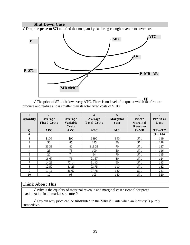

The price of \$71 is below every ATC. There is no level of output at which the firm can produce and realize a loss smaller than its total fixed costs of \$100**. Q**

|                | $\mathbf{2}$                  | 3                            | $\overline{\mathbf{4}}$       | 5                | 6                                | 7                 |
|----------------|-------------------------------|------------------------------|-------------------------------|------------------|----------------------------------|-------------------|
| Quantity       | Average<br><b>Fixed Costs</b> | Average<br>Variable<br>Costs | Average<br><b>Total Costs</b> | Marginal<br>cost | $Price =$<br>Marginal<br>Revenue | Profit or<br>Loss |
| Q              | <b>AFC</b>                    | <b>AVC</b>                   | <b>ATC</b>                    | <b>MC</b>        | $P=MR$                           | $TR - TC$         |
| $\bf{0}$       |                               |                              |                               |                  |                                  | $$ -100$          |
|                | \$100                         | \$90                         | \$190                         | \$90             | \$71                             | $-119$            |
| 2              | 50                            | 85                           | 135                           | 80               | \$71                             | $-128$            |
| 3              | 33.33                         | 80                           | 113.33                        | 70               | \$71                             | $-127$            |
| $\overline{4}$ | 25                            | 75                           | 100                           | 60               | \$71                             | $-116$            |
| 5              | 20                            | 74                           | 94                            | 70               | \$71                             | $-115$            |
| 6              | 16.67                         | 75                           | 91.67                         | 80               | \$71                             | $-124$            |
| $\overline{7}$ | 14.29                         | 77.14                        | 91.43                         | 90               | \$71                             | $-143$            |
| 8              | 12.50                         | 81.25                        | 93.75                         | 110              | \$71                             | $-182$            |
| 9              | 11.11                         | 86.67                        | 97.78                         | 130              | \$71                             | $-241$            |
| 10             | 10                            | 93                           | 103                           | 150              | \$71                             | $-320$            |

# **Think About This**

 Why is the equality of marginal revenue and marginal cost essential for profit maximization in all market structures?

 Explain why price can be substituted in the MR=MC rule when an industry is purely competitive.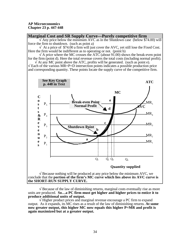# **Marginal Cost and SR Supply Curve—Purely competitive firm**

 Any price below the minimum AVC as in the Shutdown case (below \$74.00) will force the firm to shutdown. (such as point a)

 At a price of \$74.00 a firm will just cover the AVC, yet still lose the Fixed Cost. Here the firm would be indifferent as to operating or not. (point b)

 A price where the MC crosses the ATC (about 91.00) shows the break-even point for the firm (point d). Here the total revenue covers the total costs (including normal profit).

 At any MC point above the ATC, profits will be generated. (such as point e). Each of the various MR=P=D intersection points indicates a possible production price and corresponding quantity. These points locate the supply curve of the competitive firm.



 Because nothing will be produced at any price below the minimum AVC, we conclude that the **portion of the firm's MC curve which lies above its AVC curve is the SHORT-RUN SUPPLY CURVE.**

 Because of the law of diminishing returns, marginal costs eventually rise as more units are produced. **So…a PC firm must get higher and higher prices to entice it to produce additional units of output.**

 Higher product prices and marginal revenue encourage a PC firm to expand output. As it expands, its MC rises as a result of the law of diminishing returns. **At some now greater output, this higher MC now equals this higher P=MR and profit is again maximized but at a greater output.**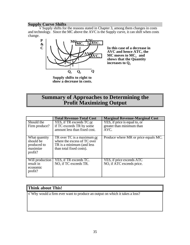### **Supply Curve Shifts**

 Supply shifts for the reasons stated in Chapter 3, among them changes in costs and technology. Since the MC above the AVC is the Supply curve, it can shift when costs change.



**Supply shifts to right to show a decrease in costs.**

**In this case of a decrease in AVC and hence ATC, the MC moves to MC2 and shows that the Quantity** increases to Q<sub>2</sub>

## **Summary of Approaches to Determining the Profit Maximizing Output**

|                                                                  | <b>Total Revenue-Total Cost</b>                                                                                    | <b>Marginal Revenue-Marginal Cost</b>                              |
|------------------------------------------------------------------|--------------------------------------------------------------------------------------------------------------------|--------------------------------------------------------------------|
| Should the<br>Firm produce?                                      | YES, if TR exceeds TC or<br>if TC exceeds TR by some<br>amount less than fixed cost.                               | YES, if price is equal to, or<br>greater than minimum than<br>AVC. |
| What quantity<br>should be<br>produced to<br>maximize<br>profit? | TR over TC is a maximum or<br>where the excess of TC over<br>TR is a minimum (and less<br>than total fixed costs). | Produce where MR or price equals MC.                               |
| Will production<br>result in<br>economic<br>profit?              | YES, if TR exceeds TC.<br>NO, if TC exceeds TR.                                                                    | YES, if price exceeds ATC<br>NO, if ATC exceeds price.             |

### **Think about This!**

Why would a firm ever want to produce an output on which it takes a loss?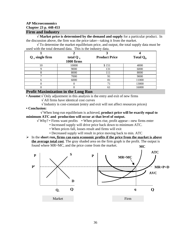### **AP Microeconomics**

```
Chapter 23 p. 448-453
```
### **Firm and Industry**

**Market price is determined by the demand and supply** for a particular product. In the discussion above, the firm was the price taker—taking it from the market.

 To determine the market equilibrium price, and output, the total supply data must be used with the total demand data. This is the industry data.

| $Q_s$ single firm | total $Q_s$<br>1000 firms | <b>Product Price</b> | Total $Q_{\rm D}$ |
|-------------------|---------------------------|----------------------|-------------------|
| 10                | 10000                     | \$151                | 4000              |
|                   | 9000                      | 131                  | 6000              |
|                   | 8000                      | 111                  | 8000              |
|                   | 7000                      | 91                   | 9000              |
|                   | 6000                      | 81                   | 11000             |
|                   |                           |                      | 13000             |
|                   |                           | 61                   | 16000             |

### **Profit Maximization in the Long Run**

**• Assume**: Only adjustment in this analysis is the entry and exit of new firms All firms have identical cost curves

Industry is cost-constant (entry and exit will not affect resources prices)

### **• Conclusion:**

 When long-run equilibrium is achieved, **product price will be exactly equal to minimum ATC and production will occur at that level of output.**

- Why? Firms want profits When prices rise, profit appear—new firms enter
	- Increased supply will drive price back down to minimum ATC.
	- When prices fall, losses result and firms will exit
	- Decreased supply will result in price moving back to min. ATC
- ÿ In the **short run, firms can earn economic profits if the price from the market is above the average total cost**. The gray shaded area on the firm graph is the profit. The output is found where MR=MC, and the price come from the market. **MC**

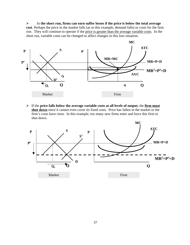ÿ In **the short run, firms can earn suffer losses if the price is below the total average cost**. Perhaps the price in the market falls (as in this example, demand falls) or costs for the firm rise. They will continue to operate if the price is greater than the average variable costs. In the short run, variable costs can be changed to affect changes in this loss situation.



 $\triangleright$  If the **price falls below the average variable costs at all levels of output**, the **firm must shut down** since it cannot even cover its fixed costs. Price has fallen in the market or the firm's costs have risen. In this example, too many new firms enter and force this firm to shut down.

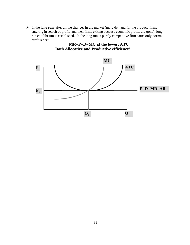$\triangleright$  In the **long run**, after all the changes in the market (more demand for the product, firms entering in search of profit, and then firms exiting because economic profits are gone), long run equilibrium is established. In the long run, a purely competitive firm earns only normal profit since:



**MR=P=D=MC at the lowest ATC Both Allocative and Productive efficiency!**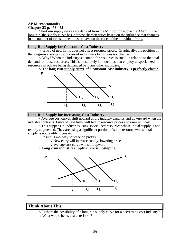### **AP Microeconomics Chapter 23 p. 453-455**

Short run supply curves are derived from the MC portion above the AVC. In the long run, the supply curve has industry characteristics based on the influence that changes in the number of firms in the industry have on the costs of the individual firms.

### **Long-Run Supply for Constant -Cost Industry**

 Entry of new firms does not affect resource prices. Graphically, the position of the long-run average cost curves of individuals firms does not change.

 Why? When the industry's demand for resources is small in relation to the total demand for those resources. This is most likely in industries that employ unspecialized resources which are being demanded by many other industries.



### **Long-Run Supply for Increasing-Cost Industry**

• Average cost curves shift upward as the industry expands and downward when the industry contracts. Entry of new firms will bid up resource prices and raise unit cost.

• This happens in industries using specialized resources whose initial supply is not readily augmented. They are using a significant portion of some resource whose total supply is not readily increased.



### **Think About This!**

 Is there the possibility of a long run supply curve for a decreasing cost industry? What would be its characteristics?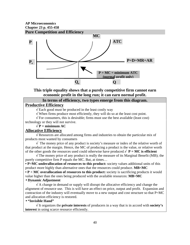

**This triple equality shows that a purely competitive firm cannot earn economic profit in the long run; it can earn normal profit.**

### **In terms of efficiency, two types emerge from this diagram.**

### **Productive Efficiency**

Each good must be produced in the least costly way

When firms produce most efficiently, they will do so at the least cost point.

 For consumers, this is desirable; firms must use the best available (least cost) technology or they will not survive.

 $\mathbf{P} = \text{minimum} \mathbf{A} \mathbf{C}$ 

### **Allocative Efficiency**

 Resources are allocated among firms and industries to obtain the particular mix of products most wanted by consumers

 The money price of any product is society's measure or index of the relative worth of that product at the margin. Hence, the MC of producing a product is the value, or relative worth of the other goods the resources used could otherwise have produced.  $P = MC$  is efficient

 The money price of any product is really the measure of its Marginal Benefit (MB); the purely competitive firm P equals the MC. But, at times…

**• P>MC underallocation of resources to this product:** society values additional units of this product more highly than alternative ones that the resources could produce. **MB<MC**

**• P < MC overallocation of resources to this product:** society is sacrificing products it would value higher than the ones being produced with the available resources: **MB>MC**

### • **Dynamic Adjustment**

 A change in demand or supply will disrupt the allocative efficiency and change the alignment of resource use. This is will have an effect on price, output and profit. Expansion and contraction of the industry will eventually move to a new output and cost structure so that  $P=MC$ and allocation efficiency is restored.

### • **"Invisible Hand"**

 It organizes the **private interests** of producers in a way that is in accord with **society's interest** in using scarce resource efficiently.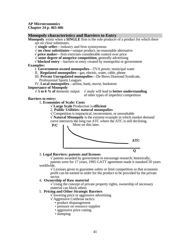### **Monopoly characteristics and Barriers to Entry**

**Monopoly** exists when a **SINGLE** firm is the sole producer of a product for which there are no close substitutes.

**single seller**—industry and firm synonymous

**no close substitutes—**unique product; no reasonable alternative

**price maker**—firm exercises considerable control over price

**some degree of nonprice competition**, generally advertising

**blocked entry**—barriers to entry created by monopolist or government **Examples:**

I. **Government-owned monopolies**—TVA power, municipal water

II. **Regulated monopolies**—gas, electric, water, cable, phone

III. **Private Unregulated monopolies**—De Beers Diamond Syndicate, Professional Sports Leagues

IV. **Local monopolies**—airline, bank, movie, bookstore

### **Importance of Monopoly**

**5 to 6 % of** domestic output study will lead to **better understanding** 

of other types of imperfect competition

### **Barriers to entry:**

1**. Economies of Scale: Costs**

**Large Scale** Production is **efficient**

2. **Public Utilities: natural monopolies**

 Competition is impractical, inconvenient, or unworkable  **Natural Monopoly** is the extreme example in which market demand

curve intersects the long run ATC where the ATC is still declining.



### 3. **Legal Barriers: patents and licenses**

 patents awarded by government to encourage research; historically, patents were for 17 years, 1995 GATT agreement made it standard 20 years worldwide.

 Licenses given to guarantee safety or limit competition so that economic profit can be earned in order for the product to be provided by the private sector.

### 4**. Ownership of Raw material**

 Using the concept of private property rights, ownership of necessary material can block others

### 5. **Pricing and Other Strategic Barriers**

lowering price or aggressive advertising

- Aggressive Cutthroat tactics:
- product disparagement
- pressure on resource supplier
- aggressive price cutting
- dumping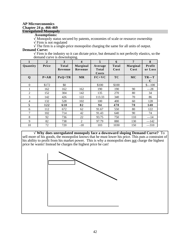### **AP Microeconomics Chapter 24 p. 466-469 Unregulated Monopoly**

### **Assumptions:**

 Monopoly status secured by patents, economies of scale or resource ownership Firm is not regulated

 The firm is a single-price monopolist charging the same for all units of output. **Demand Curve:**

 Firm is the industry so it can dictate price, but demand is not perfectly elastics, so the demand curve is downsloping.

| 1              | $\overline{2}$ | 3                       | 4                          | 5                                | 6                    | 7                       | 8                 |
|----------------|----------------|-------------------------|----------------------------|----------------------------------|----------------------|-------------------------|-------------------|
| Quantity       | Price          | <b>Total</b><br>Revenue | <b>Marginal</b><br>Revenue | Average<br><b>Total</b><br>Costs | <b>Total</b><br>Cost | <b>Marginal</b><br>Cost | Profit<br>or Loss |
| Q              | $P = AR$       | $PXQ=TR$                | <b>MR</b>                  | $FC+VC$                          | <b>TC</b>            | <b>MC</b>               | $TR - T$          |
|                |                |                         |                            |                                  |                      |                         | $\mathbf C$       |
| $\Omega$       | \$172          | \$0                     |                            | \$100                            | \$100                |                         | $$ -100$          |
|                | 162            | 162                     | 162                        | 190                              | 190                  | 90                      | $-28$             |
| $\overline{2}$ | 152            | 304                     | 142                        | 135                              | 270                  | 80                      | 34                |
| 3              | 142            | 426                     | 122                        | 113.33                           | 340                  | 70                      | 86                |
| 4              | 132            | 528                     | 102                        | 100                              | 400                  | 60                      | 128               |
| 5              | 122            | 610                     | 82                         | 94                               | 470                  | 70                      | 140               |
| 6              | 112            | 672                     | 62                         | 91.67                            | 550                  | 80                      | 122               |
| 7              | 102            | 714                     | 42                         | 91.43                            | 640                  | 90                      | 74                |
| 8              | 92             | 736                     | 22                         | 93.75                            | 750                  | 110                     | —14               |
| 9              | 82             | 738                     | 2                          | 97.79                            | 880                  | 130                     | $-142$            |
| 10             | 72             | 720                     | $-18$                      | 103                              | 1030                 | 150                     | $-310$            |

**Why does unregulated monopoly face a downward sloping Demand Curve?** To sell more of his goods, the monopolist knows that he must lower his price. This puts a constraint of his ability to profit from his market power. This is why a monopolist does not charge the highest price he wants! Instead he charges the highest price he can!

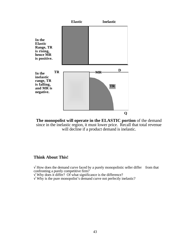

**The monopolist will operate in the ELASTIC portion** of the demand since in the inelastic region, it must lower price. Recall that total revenue will decline if a product demand is inelastic.

### **Think About This!**

How does the demand curve faced by a purely monopolistic seller differ from that confronting a purely competitive firm?

Why does it differ? Of what significance is the difference?

Why is the pure monopolist's demand curve not perfectly inelastic?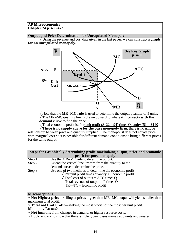

for the same output.

|        | Steps for Graphically determining profit-maximizing output, price and economic<br>profit for pure monopoly |  |  |  |  |  |
|--------|------------------------------------------------------------------------------------------------------------|--|--|--|--|--|
| Step 1 | Use the MR=MC rule to determine output.                                                                    |  |  |  |  |  |
| Step 2 | Extend the vertical line upward from the quantity to the                                                   |  |  |  |  |  |
|        | demand curve to determine the price.                                                                       |  |  |  |  |  |
| Step 3 | Use one of two methods to determine the economic profit                                                    |  |  |  |  |  |
|        | Per unit profit times quantity $=$ Economic profit                                                         |  |  |  |  |  |
|        | Total cost of output = $ATC$ times Q                                                                       |  |  |  |  |  |
|        | Total revenue of output = $P$ times $Q$                                                                    |  |  |  |  |  |
|        | $TR - TC = Economic profit$                                                                                |  |  |  |  |  |

### **Misconceptions**

**Not Highest price**—selling at prices higher than MR=MC output will yield smaller than maximum total profit.

**Total not Unit Profit**—seeking the most profit not the most per unit profit. **Monopoly Losses?**

**Not immune** from changes in demand, or higher resource costs.

Look at data to show that the example given losses money at 8 units and greater.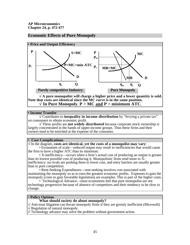### **Economic Effects of Pure Monopoly**



**A pure monopolist will charge a higher price and a lower quantity is sold. Note that costs are identical since the MC curve is in the same position. In Pure Monopoly**, **P > MC and P > minimum ATC**.

### **• Income Transfer**

 Contributes to **inequality in income distribution** by "levying a private tax" on consumers to obtain economic profit.

 These profits are **not widely distributed** because corporate stock ownership is largely concentrated in the hands of upper-income groups. Thus these firms and their owners tend to be enriched at the expense of the consumer.

### **• Cost Complications**

In the diagram, **costs are identical, yet the costs of a monopolist may vary**:

• Economies of scale—reduced output may result in inefficiencies that would cause the firm to have a higher ATC than its minimum.

• X-inefficiency—occurs when a firm's actual cost of producing an output is greater than its lowest possible cost of producing it. Monopolistic firms tend more to Xinefficiency; no rivals are pushing them to lower cost, and entry barriers are usually greater than in pure competition.

• Rent-Seeking Expenditures—rent-seeking involves cost associated with maintaining the monopoly so as to earn the greatest economic profits. Expenses to gain the monopoly (costs to gain favorable legislation) are examples. This is part of the higher costs.

• Technological Advance—most economists feel that pure monopolist are not technology progressive because of absence of competitors and their tendency to be slow to change.

### **• Policy Options**

### **What should society do about monopoly?**

 Anti-trust litigation can thwart monopoly firms if they are grossly inefficient (Microsoft) Regulation of natural monopoly

Technology advance may solve the problem without government action.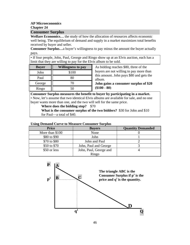### **AP Microeconomics**

### **Chapter 24**

### **Consumer Surplus**

**Welfare Economics…** the study of how the allocation of resources affects economic well being. The equilibrium of demand and supply in a market maximizes total benefits received by buyer and seller.

**Consumer Surplus…**a buyer's willingness to pay minus the amount the buyer actually pays.

• If four people, John, Paul, George and Ringo show up at an Elvis auction, each has a limit that they are willing to pay for the Elvis album to be sold.

| <b>Buyer</b> | <b>Willingness to pay</b> |
|--------------|---------------------------|
| John         | \$100                     |
| Paul         | ווא                       |
| George       | 70                        |
| Ringo        |                           |

As bidding reaches \$80, three of the buyers are not willing to pay more than this amount. John pays \$80 and gets the album.

**John gains a consumer surplus of \$20 (\$100 - 80)**

**Consumer Surplus measures the benefit to buyer by participating in a market.** • Now, let's assume that two identical Elvis albums are available for sale, and no one buyer wants more than one, and the two will sell for the same price.

**Where does the bidding stop?** \$70

**What is the consumer surplus of the two bidders?** \$30 for John and \$10 for Paul—a total of \$40.

### **Using Demand Curve to Measure Consumer Surplus**

| Price           | <b>Buyers</b>          | <b>Quantity Demanded</b> |
|-----------------|------------------------|--------------------------|
| More than \$100 | None                   |                          |
| \$80 to \$90    | John                   |                          |
| \$70 to \$80    | John and Paul          |                          |
| \$50 to \$70    | John, Paul and George  |                          |
| \$50 or less    | John, Paul, George and |                          |
|                 | Ringo                  |                          |

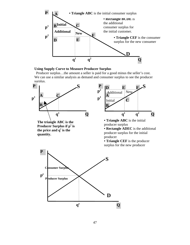

### **Using Supply Curve to Measure Producer Surplus**

 Producer surplus…the amount a seller is paid for a good minus the seller's cost. We can use a similar analysis as demand and consumer surplus to see the producer surplus.



**the price and**  $q^1$  **is the** 

**quantity.**

**• Rectangle ADEC** is the additional producer surplus for the initial producer

**q 2**

**S**

**Q**

**C**

 $\mathbf{q}^1$ 

New

**• Triangle CEF** is the producer surplus for the new producer

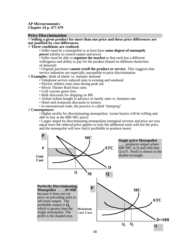### **Price Discrimination**

**Selling a given product for more than one price and these price differences are not justified by cost differences.**

### **Three conditions are realized:**

• Seller must be a monopolist or at least have **some degree of monopoly power** (ability to control output and price)

• Seller must be able to **segment the market** so that each has a different willingness and ability to pay for the product (based on different elasticities of demand)

• Original purchaser **cannot resell the product or service**. This suggests that service industries are especially susceptible to price discrimination

**Examples**: think of elastic vs. inelastic demand

- Telephone service reduced rates in evening and weekend
- Electric utilities raise rates during peak use
- Movie Theater Rush hour rates
- Golf courses green fees
- Bulk discounts for shipping on RR
- Airline tickets bought in advance or family rates vs. business rate
- Hotel and restaurant discounts to seniors
- In international trade, the practice is called "dumping".

#### **Consequences**:

• Higher profits for discriminating monopolists (some buyers will be willing and able to buy at the MR=MC price)

• Larger output by discriminating monopolists (marginal revenue and price are now equal since the reduced price applies to only the additional units sold not the prior, and the monopolist will now find it profitable to produce more)

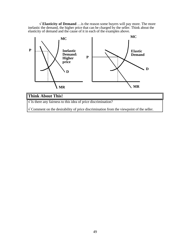**Elasticity of Demand** …is the reason some buyers will pay more. The more inelastic the demand, the higher price that can be charged by the seller. Think about the elasticity of demand and the cause of it in each of the examples above.



### **Think About This!**

Is there any fairness to this idea of price discrimination?

Comment on the desirability of price discrimination from the viewpoint of the seller.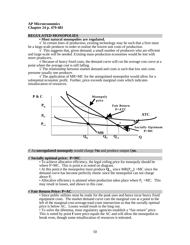### **REGULATED MONOPOLIES**

**• Most natural monopolies are regulated.**

 In certain lines of production, existing technology may be such that a firm must be a large-scale producer in order to realize the lowest unit costs of production.

 This suggests that, given demand, a small number of producers who are efficient and large-scale will be needed. Existing mass-production economies would be lost with more producers.

 Because of heavy fixed costs, the demand curve will cut the average cost curve at a point where the average cost is still falling.

 The relationship between market demand and costs is such that low unit costs presume usually one producer.

 The application of MR=MC for the unregulated monopolist would allow for a substantial economic profit. Further, price exceeds marginal costs which indicates misallocation of resources.



An **unregulated monopoly** would charge P**m** and produce output Q**m.**

#### **Socially optimal price: P=MC**

• To achieve allocative efficiency, the legal ceiling price for monopoly should be where P=MC. This is point **r** as noted on diagram.

• At this point **r** the monopolist must produce  $Q_{so}$  since MR( $P_{so}$ ) =MC since the demand curve has become perfectly elastic since the monopolist can not charge above  $P_r$ 

• Allocative efficiency is attained when production takes place where  $P_r = MC$ . This may result in losses, and shown in this case.

#### **Fair Return Price: P=AC**

• Since public utilities must be ready for the peak uses and hence incur heavy fixed equipment costs. The market demand curve cuts the marginal cost at a point to the left of the marginal-cost-average-total-costs intersection so that the socially optimal price is below AC. Losses would result in the long run.

• To solve the dilemma, most regulatory agencies establish a "fair-return" price. This is noted by point **f** were price equals the AC and will allow the monopolist to break even, though some misallocation of resources is tolerated.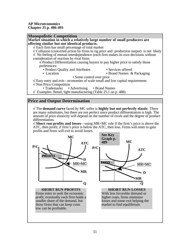**Monopolistic Competition**

| <b>MOROPORSIIC COMPUTION</b>                                                           |                           |
|----------------------------------------------------------------------------------------|---------------------------|
| Market situation in which a relatively large number of small producers are             |                           |
| offering similar but not identical products.                                           |                           |
| Each firm has small percentage of total market                                         |                           |
| Collusion (concerted action by firms to rig price and production output) is not likely |                           |
| No feeling of mutual interdependence (each firm makes its own decisions without        |                           |
| consideration of reaction by rival firms                                               |                           |
| Product Differentiation causing buyers to pay higher price to satisfy those            |                           |
| preferences:                                                                           |                           |
| • Product Quality and Attributes                                                       | • Services offered        |
| • Location                                                                             | • Brand Names & Packaging |
| • Some control over price                                                              |                           |
| Easy entry and exit—economies of scale small and low capital requirements              |                           |
| Non Price Competition                                                                  |                           |
| • Trademarks • Advertising • Brand Names                                               |                           |
| Examples: Retail, light manufacturing (Table 25.1 on p. 488)                           |                           |
|                                                                                        |                           |
|                                                                                        |                           |

### **Price and Output Determination**

 The **demand curve** faced by MC seller is **highly but not perfectly elastic**. There are many substitutes, but there are not perfect since product differentiation is high. The amount of price elasticity will depend on the number of rivals and the degree of product differentiation.

**Short run profits and losses**—using MR=MC rule if the firm's price is above the ATC, then profit; if firm's price is below the ATC, then loss. Firms will enter to gain profits and firms will exit to avoid losses.

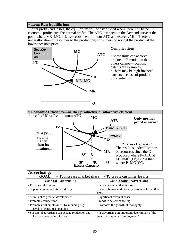### **Long Run Equilibrium**

…after profits and losses, the equilibrium will be established where there will be no economic profits, just the normal profits. The ATC is tangent to the Demand curve at the point where MR=MC. Price exceeds the minimum ATC and exceeds MC. There is underallocation of resources to the production; consumers do not get the product at the lowest possible price.





# **Advertising:**

To increase market share To create customer loyalty

| <b>Case for Advertising</b>                        | <b>Case Against Advertising</b>                   |  |
|----------------------------------------------------|---------------------------------------------------|--|
| • Provides information                             | • Persuades rather than inform                    |  |
| • Supports communication industry                  | • Diverts human and property resources from other |  |
|                                                    | areas                                             |  |
| • Stimulant to product development                 | • Significant external costs                      |  |
| • Promotes competition                             | • Tends to be self-canceling                      |  |
| • Promotes full employment by inducing high        | • Promotes the growth of monopoly                 |  |
| levels of consumer spending                        |                                                   |  |
| • Successful advertising can expand production and | • Is advertising an important determinant of the  |  |
| increase economies of scale                        | levels of output and employment?                  |  |
|                                                    |                                                   |  |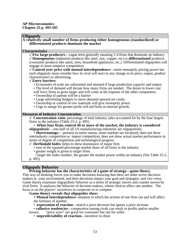### **Oligopoly**

**A relatively small number of firms producing either homogeneous (standardized) or differentiated products dominate the market**

### **Characteristics**

**Few large producers**—vague term generally meaning 2-4 firms that dominate an industry **Homogeneous** (industrial products like steel, zinc, copper, etc) or **differentiated** products (consumer products like autos, tires, household appliances, etc.). Differentiated oligopolies will engage in more nonprice competition.

**Control over price with mutual interdependence**—some monopoly pricing power but each oligopoly must consider how its rival will react to any change in its price, output, product characteristics or advertising.

### **Entry barriers**

- Economies of scale are substantial and attained if large production capacity and output.
- The level of demand will dictate how many firms are needed. The desire to lower cost
- will force firms to grow larger and will come at the expense of the other competitors.
- Ownership of patents will be a barrier
- Large advertising budgets to move demand upward are costly.
- Ownership or control of raw materials will give monopoly power
- Urge to merge for greater profit will aid firms in internal growth.

### **Measures of Industry Concentration**

 **Concentration ratio**–percentage of total industry sales accounted for by the four largest firms in the industry (Table 25-2, p. 495)

• **When four firms control 40 or more of the market, the industry is considered oligopolistic**—one-half of all US manufacturing industries are oligopolisitic.

• **Shortcomings**— pertains to entire nation, some markets are localized; does not show interindustry competition or import competition; does not show actual market performance in terms of degree of competition and technological progress

**Herfindahl Index** helps to show dominance of major firm

- sum of the squared percentage market share of all firms in the industry
- greater weight is given to larger firms

• larger the index number, the greater the market power within an industry (See Table 25-2,

p. 495)

### **Oligopoly Behavior**

### **Pricing behavior has the characteristics of a game of strategy—game theory.**

This way of thinking forces you to make decisions knowing that there are other active decisionmakers in your environment, and their decisions impact your goal and strategies, and vice versa. Game theory examines oligopolistic behavior as a series of strategic moves and counter moves by rival firms. It analyzes the behavior of decision makers, whose choices affect one another. The focus is on the players' incentives to cooperate or to compete.

### **Game theory reveals that oligopolies show:**

•**Mutual Interdependence**–situation in which the actions of one firm can and will affect the fortunes of another

• **expectation of reaction**—match a price decrease but ignore a price increase

• **collusive tendencies**—cooperation among rivals can result in profits and/or smaller losses; "price wars" are good for consumer but not for seller.

• **unpredictability of reaction**—incentive to cheat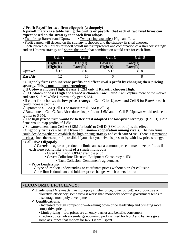### **Profit Payoff for two-firm oligopoly (a duopoly)**

### **A payoff matrix is a table listing the profits or payoffs, that each of two rival firms can expect based on the strategy that each firm adopts.**

• Two firms: RareAir and Uptown • Two pricing strategies: High and Low

• Profit earned will depend on the strategy it chooses and the strategy its rival chooses.

• Each lettered cell of this four-cell payoff matrix represents one combination of a RareAir strategy and an Uptown strategy and shows the profit that combination would earn for each firm.

|               | <b>Cell A</b>                 | <b>Cell B</b>                | Cell C            | <b>Cell D</b>    |
|---------------|-------------------------------|------------------------------|-------------------|------------------|
|               | $\mathbf{High}(U)$<br>High(R) | $\mathbf{High}(U)$<br>Low(R) | Low(U)<br>High(R) | Low(U)<br>Low(R) |
| <b>Uptown</b> | \$12                          | \$6                          | \$15              | 8<br>\$          |
| RareAir       | 12                            |                              |                   |                  |

• **Oligopoly firms can increase profits and affect rival's profit by changing their pricing strategy**. This **is mutual interdependence**.

If **Uptown chooses High**, it earns \$ 12M only if **RareAir chooses High**.

 If **Uptown chooses High** and **RareAir chooses Low**, RareAir will capture more of the market and earn \$ 15 M while Uptown only gets \$ 6M.

• If either firm chooses the **low price strategy**—Cell C for Uptown and Cell B for RareAir, each could increase profits.

Uptown to \$ 15M (Cell C) or RareAir to \$ 15M (Cell B).

 But…note in Cell C, RareAir reduces its profits to \$ 6M and in Cell B, Uptown would reduce its profits to \$ 6M.

 The **high priced firm would be better off it adopted the low-price strategy**. (Cell D). Both firms would reap profits of \$ 8M.

So…movement from Cell A (\$12M for both) to Cell D (\$8M for both) is the effect!

• **Oligopoly firms can benefit from collusion— cooperation among rivals.** The two firms could decide together to establish the high pricing strategy and each earn **\$12M**. There is temptation to cheat since the extra profit possible if you trick your rival is present by with low price strategy.

### • **Collusive Oligopoly**

**Cartels**— agree on production limits and set a common price to maximize profits as if each were **acting like a unit of a single monopoly**.

- Overt Collusion: OPEC example p. 531
- Covert Collusion: Electrical Equipment Conspiracy p. 531
	- Tacit Collusion: Gentlemen's agreements

### **• Price Leadership**

 type of implicit understanding to coordinate prices without outright collusion. one firm is dominant and initiates price changes which others follow

### **• ECONOMIC EFFICIENCY:**

**Traditional View**–acts like monopoly (higher price, lower output); no productive or allocative efficiency; some view it worse than monopoly because government tends to discourage monopoly development

### **Qualifications:**

• Increased foreign competition—breaking down price leadership and bringing more competitive pricing

• Limit pricing—low prices are an entry barrier and benefits consumers

• Technological advance—large economic profit is used for R&D and barriers give some assurance that money for R&D is well spent.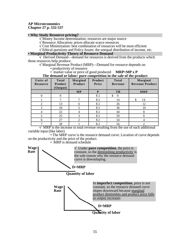### **AP Microeconomics Chapter 27 p. 532-537**

### **• Why Study Resource pricing?**

Money Income determination: resources are major source

Resource Allocation: prices allocate scarce resources

Cost Minimization: best combination of resources will be most efficient

Ethical questions and Policy Issues: the unequal distribution of income, etc.

### **• Marginal Productivity Theory of Resource Demand**

 Derived Demand—demand for resources is derived from the products which those resources help produce.

 Marginal Revenue Product (MRP)—Demand for resource depends on • productivity of resource

| The acmana of fabor, pure competition in the said of the product |                                     |                     |                         |                         |                                    |
|------------------------------------------------------------------|-------------------------------------|---------------------|-------------------------|-------------------------|------------------------------------|
| Units of<br><b>Resource</b>                                      | Total<br><b>Product</b><br>(Output) | Marginal<br>Product | <b>Product</b><br>Price | <b>Total</b><br>Revenue | Marginal<br><b>Revenue Product</b> |
|                                                                  |                                     | <b>MP</b>           | P                       | <b>TR</b>               | <b>MRP</b>                         |
| 0                                                                |                                     |                     | \$2                     |                         |                                    |
|                                                                  |                                     |                     | \$2                     | 14                      | 14                                 |
| ◠                                                                | 13                                  | 6                   | \$2                     | 26                      | 12                                 |
| 3                                                                | 18                                  |                     | \$2                     | 36                      | 10                                 |
| $\overline{4}$                                                   | 22                                  | 4                   | \$2                     | 44                      | 8                                  |
|                                                                  | 25                                  | 3                   | \$2                     | 50                      | 6                                  |
| 6                                                                | 27                                  | $\mathfrak{D}$      | \$2                     | 54                      | 4                                  |
|                                                                  | 28                                  |                     | \$2                     | 56                      | っ                                  |

### • market value or price of good produced **MRP=MP x P The demand or labor: pure competition in the sale of the product**

 MRP is the increase in total revenue resulting from the use of each additional variable input (like labor)

• The MRP curve is the resource demand curve. Location of curve depends on the productivity and the price of the product.

• MRP is demand schedule

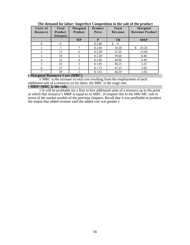| Units of<br><b>Resource</b>                                                  | <b>Total</b><br><b>Product</b><br>(Output) | Marginal<br><b>Product</b> | Product<br>Price | <b>Total</b><br>Revenue | Marginal<br><b>Revenue Product</b> |
|------------------------------------------------------------------------------|--------------------------------------------|----------------------------|------------------|-------------------------|------------------------------------|
|                                                                              |                                            | <b>MP</b>                  | P                | <b>TR</b>               | <b>MRP</b>                         |
| 0                                                                            |                                            |                            | \$2.80           | \$<br>$\Omega$          |                                    |
|                                                                              |                                            | 7                          | \$2.60           | 18.20                   | 18.20                              |
| 2                                                                            | 13                                         | 6                          | \$2.40           | 31.20                   | 13.00                              |
| 3                                                                            | 18                                         | 5                          | \$2.20           | 39.60                   | 8.40                               |
| $\overline{4}$                                                               | 22                                         | 4                          | \$2.00           | 44.00                   | 4.40                               |
| 5                                                                            | 25                                         | 3                          | \$1.85           | 46.25                   | 2.25                               |
| 6                                                                            | 27                                         | $\mathfrak{D}$             | \$1.75           | 47.25                   | 1.00                               |
| ⇁<br>$M_{\text{normalized}}$ $D_{\text{canonical}}$ $C_{\text{est}}$ $(MDC)$ | 28                                         |                            | \$1.65           | 46.20                   | $-1.05$                            |

### **The demand for labor: Imperfect Competition in the sale of the product**

### **• Marginal Resource Cost (MRC)**

 MRC is the increase in total cost resulting from the employment of each additional unit of a resource; so for labor, the MRC is the wage rate.

### **• MRP=MRC is the rule**.

 It will be profitable for a firm to hire additional units of a resource up to the point at which that resource's MRP is equal to its MRC. (Compare this to the MR=MC rule in terms of the market models of the previous chapters. Recall that it was profitable to produce the output that added revenue until the added cost was greater.)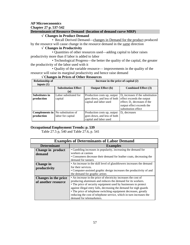### **AP Microeconomics**

**Chapter 27 p. 537-542**

### **Determinants of Resource Demand (location of demand curve MRP)**

**Changes in Product Demand**

• Recall Derived Demand—changes in Demand for the product produced by the resource will cause change in the resource demand in the same direction

### **Changes in Productivity**

• Quantities of other resources used—adding capital to labor raises productivity more than if labor is added to labor

• Technological Progress—the better the quality of the capital, the greater the productivity of the labor used with it

 • Quality of the variable resource— improvements in the quality of the resource will raise its marginal productivity and hence raise demand

#### **Changes in Prices of Other Resources**

| <b>Relationship of</b><br>inputs $(1)$ | Increase in the price of capital (2)                            |                                                                                      |                                                                                                                                                      |  |  |
|----------------------------------------|-----------------------------------------------------------------|--------------------------------------------------------------------------------------|------------------------------------------------------------------------------------------------------------------------------------------------------|--|--|
|                                        | <b>Substitution Effect</b><br>(a)                               | <b>Output Effect</b> (b)                                                             | <b>Combined Effect (3)</b>                                                                                                                           |  |  |
| <b>Substitutes in</b><br>production    | Labor substituted for<br>capital                                | Production costs up, output<br>goes down, and less of both<br>capital and labor used | $DL$ increases if the substitution<br>effect exceeds the output<br>effect; $DL$ decreases if the<br>output effect exceeds the<br>substitution effect |  |  |
| production                             | <b>Complements in   No substitution of</b><br>labor for capital | Production costs up, output<br>goes down, and less of both<br>capital and labor used | $Dr$ decreases                                                                                                                                       |  |  |

### **Occupational Employment Trends: p. 539**

Table 27.5 p, 540 and Table 27.6, p. 541

| <b>Examples of Determinants of Labor Demand</b> |                                                                                                                                                                                                                                                                                                                                                                                                                                               |  |  |  |
|-------------------------------------------------|-----------------------------------------------------------------------------------------------------------------------------------------------------------------------------------------------------------------------------------------------------------------------------------------------------------------------------------------------------------------------------------------------------------------------------------------------|--|--|--|
| <b>Determinant</b>                              | <b>Examples</b>                                                                                                                                                                                                                                                                                                                                                                                                                               |  |  |  |
| Change in product<br>demand                     | • Gambling increases in popularity, increasing the demand for<br>workers at casinos<br>• Consumers decrease their demand for leather coats, decreasing the<br>demand for tanners                                                                                                                                                                                                                                                              |  |  |  |
| <b>Change in</b><br>productivity                | • An increase in the skill level of glassblowers increases the demand<br>for their services.<br>• Computer-assisted graphic design increases the productivity of and<br>the demand for graphic artists                                                                                                                                                                                                                                        |  |  |  |
| Changes in the price<br>of another resource     | • An increase in the price of electricity increases the cost of<br>producing aluminum and reduces the demand for its workers.<br>• The price of security equipment used by businesses to protect<br>against illegal entry falls, decreasing the demand for nigh guards<br>• The price of telephone switching equipment decreases, greatly<br>reducing the cost of telephone service, which in turn increases the<br>demand for telemarketers. |  |  |  |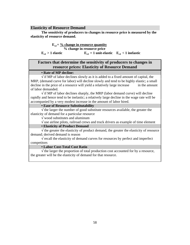### **Elasticity of Resource Demand**

**The sensitivity of producers to changes in resource price is measured by the elasticity of resource demand.**

 $E_{rd}$  =  $\frac{\%}{\%}$  change in resource quantity  **% change in resource price**  $\mathbf{E}_{\text{rd}} > 1$  elastic  $\mathbf{E}_{\text{rd}} = 1$  unit-elastic  $\mathbf{E}_{\text{rd}} < 1$  inelastic

### **Factors that determine the sensitivity of producers to changes in resource prices: Elasticity of Resource Demand**

#### **• Rate of MP decline:**

 if MP of labor declines slowly as it is added to a fixed amount of capital, the MRP, (demand curve for labor) will decline slowly and tend to be highly elastic; a small decline in the price of a resource will yield a relatively large increase in the amount of labor demanded.

 if MP of labor declines sharply, the MRP (labor demand curve) will decline rapidly and hence tend to be inelastic; a relatively large decline in the wage rate will be accompanied by a very modest increase in the amount of labor hired.

### **• Ease of Resource Substitutability**

 the larger the number of good substitute resources available, the greater the elasticity of demand for a particular resource

wood substitutes and aluminum

use airline pilots, railroad crews and truck drivers as example of time element

#### **• Elasticity of Product Demand**

 the greater the elasticity of product demand, the greater the elasticity of resource demand; derived demand is reason

 recall the elasticity of demand curves for resources by perfect and imperfect competitors

### **• Labor Cost-Total Cost Ratio**

 the larger the proportion of total production cost accounted for by a resource, the greater will be the elasticity of demand for that resource.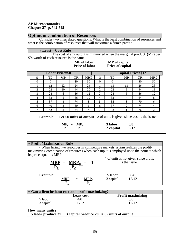### **AP Microeconomics Chapter 27 p. 542-545**

### **Optimum combination of Resources**

Consider two interrelated questions: What is the least combination of resources and what is the combination of resources that will maximize a firm's profit?

| <b>Least-Cost Rule</b><br>• The cost of any output is minimized when the marginal product (MP) per<br>\$'s worth of each resource is the same.<br>$\frac{\text{MP of labor}}{\text{Price of labor}} = \frac{\text{MP of capital}}{\text{Price of capital}}$ |                |          |           |     |                                                                      |                           |          |                |     |            |
|-------------------------------------------------------------------------------------------------------------------------------------------------------------------------------------------------------------------------------------------------------------|----------------|----------|-----------|-----|----------------------------------------------------------------------|---------------------------|----------|----------------|-----|------------|
| <b>Labor Price=\$8</b>                                                                                                                                                                                                                                      |                |          |           |     |                                                                      | <b>Capital Price=\$12</b> |          |                |     |            |
|                                                                                                                                                                                                                                                             | O              | TP       | <b>MP</b> | TR  | <b>MRP</b>                                                           | $\bf{O}$                  | TP       | <b>MP</b>      | TR  | <b>MRP</b> |
|                                                                                                                                                                                                                                                             | $\Omega$       | $\Omega$ |           | \$0 | \$0                                                                  | $\Omega$                  | $\theta$ |                | \$0 | \$0        |
|                                                                                                                                                                                                                                                             |                | 12       | 12        | 24  | 24                                                                   | 1                         | 13       | 13             | 26  | 26         |
|                                                                                                                                                                                                                                                             | $\overline{2}$ | 22       | 10        | 44  | 20                                                                   | $\mathfrak{D}$            | 22       | 9              | 44  | 18         |
|                                                                                                                                                                                                                                                             | 3              | 28       | 6         | 56  | 12                                                                   | 3                         | 28       | 6              | 56  | 12         |
|                                                                                                                                                                                                                                                             | 4              | 33       | 5         | 66  | 10                                                                   | 4                         | 32       | 4              | 64  | 8          |
|                                                                                                                                                                                                                                                             | 5              | 37       | 4         | 74  | 8                                                                    | 5                         | 35       | 3              | 70  | 6          |
|                                                                                                                                                                                                                                                             | 6              | 40       | 3         | 80  | 6                                                                    | 6                         | 37       | $\mathfrak{D}$ | 74  | 4          |
|                                                                                                                                                                                                                                                             | 7              | 42       | 2         | 84  | $\overline{4}$                                                       | 7                         | 38       |                | 76  | 2          |
| For 50 units of output<br><b>Example:</b>                                                                                                                                                                                                                   |                |          |           |     | # of units is given since cost is the issue!<br>3 labor<br>2 capital | 6/8<br>9/12               |          |                |     |            |

### **Profit Maximization Rule**

• When hiring two resources in competitive markets, a firm realizes the profitmaximizing combination of resources when each input is employed up to the point at which its price equal its MRP.

| $MRP = MRP_C =$ |  |
|-----------------|--|
|                 |  |

 $\frac{\text{MRP}_{\text{L}}}{\text{P}_{\text{L}}}$ 

 $P_{\rm L}$   $P_{\rm C}$ 

# of units is not given since profit is the issue.

**Example:**  $MRP_1 = MRP_2$   $3 capital$   $12/12$  $=$   $\frac{\text{MRP}_C}{P_C}$  3 capital

| Can a firm be least cost and profit maximizing? |                                             |                          |  |  |  |
|-------------------------------------------------|---------------------------------------------|--------------------------|--|--|--|
|                                                 | <b>Least cost</b>                           | <b>Profit maximizing</b> |  |  |  |
| 5 labor                                         | 4/8                                         | 8/8                      |  |  |  |
| 3 capital                                       | 6/12                                        | 12/12                    |  |  |  |
| How many units?<br>5 labor produce 37           | 3 capital produce $28 = 65$ units of output |                          |  |  |  |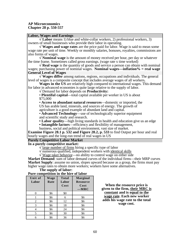### **Labor, Wages and Earnings**

 **Labor** means 1) blue and white-collar workers, 2) professional workers, 3) owners of small businesses who provide their labor in operating.

**Wages and wage rates** are the price paid for labor. Wage is said to mean some wage rate per unit of time. Weekly or monthly salaries, bonuses, royalties, commissions are also forms of wages.

**Nominal wage** is the amount of money received per hour, per day or whatever the time frame. Sometimes called gross earnings. (wage rate x time worked)

**Real wage** is the quantity of goods and service a person can obtain with nominal wages; purchasing power of nominal wages. **Nominal wages—inflation% = real wage General Level of Wages**

 **Wages differ** among nations, regions, occupations and individuals. The general level of wages is a composite concept that includes average wages of all workers**.**

**Wages in the US** are relatively high compared to international wages. This demand for labor in advanced economies is quite large relative to the supply of labor.

Demand for labor depends on **Productivity:**

• **Plentiful capital**—total capital available per worker in US is about \$75,000

• **Access to abundant natural resources**—domestic or imported, the US has arable land, minerals, and sources of energy. The growth of

agriculture is a good example of abundant land and capital.

• **Advanced Technology**—use of technologically superior equipment and scientific study and research.

**• Labor quality**—high living standards in health and education give us an edge

**• Intangible factors**—efficiency and flexibility of management,

business, social and political environment, vast size of market.

**Examine Figure 28.1 p. 532 and Figure 28.2, p. 533** to find Output per hour and real hourly wages and the long-run trend of real wages in US

### **Purely Competitive Labor Market**

### **In a purely competitive market:**

large number of firms hiring a specific type of labor

numerous qualified, independent workers with identical skills

Wage taker behavior—no ability to control wage on either side

**Market Demand**: sum of labor demand curves of the individual firms—their MRP curves **Market Supply**: assume no union, slopes upward because as a group, the firms must pay higher wage rates to obtain more workers; workers have some alternatives.  **The supply of labor:**

| r ure competition in the line of fabor |              |                        |                                                    |  |  |
|----------------------------------------|--------------|------------------------|----------------------------------------------------|--|--|
| Unit of<br>Labor                       | Wage<br>Rate | Total<br>Labor<br>Cost | <b>Marginal</b><br><b>Resource</b><br>Cost<br>—MRC |  |  |
|                                        | \$6          | \$0                    |                                                    |  |  |
|                                        | \$6          | 6                      | \$6                                                |  |  |
| 2                                      | \$6          | 12                     | \$6                                                |  |  |
| 3                                      | \$6          | 18                     | \$6                                                |  |  |
| 4                                      | \$6          | 24                     | \$6                                                |  |  |
| 5                                      | \$6          | 30                     | \$6                                                |  |  |
| 6                                      | \$6          | 36                     | \$6                                                |  |  |

### **Pure competition in the hire of labor**

**When the resource price is given to the firm, their MRC is constant and is equal to the wage rate. Each new worker adds his wage rate to the total wage cost.**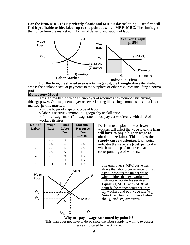**For the firm, MRC (S) is perfectly elastic and MRP is downsloping**. Each firm will find it **profitable to hire labor up to the point at which MRP=MRC**. The firm's get their price from the market equilibrium of demand and supply of labor.



**For the firm,** the **shaded area** is total wage cost; the **triangle** above the shaded area is the nonlabor cost, or payments to the suppliers of other resources including a normal profit.

#### **Monopsony Model**

This is a market in which an employer of resources has monopolistic buying (hiring) power. One major employer or several acting like a single monopsonist in a labor market. **In this market**:

single buyer of a specific type of labor

labor is relatively immobile—geography or skill-wise

 firm is "wage maker" —wage rate it must pay varies directly with the # of workers its hires

| Unit of<br>Labor | Wage<br>Rate | <b>Total</b><br>Labor<br>Cost | <b>Marginal</b><br><b>Resource</b><br>Cost<br>$-MRC$ |  |  |
|------------------|--------------|-------------------------------|------------------------------------------------------|--|--|
| 0                | \$5          | \$0                           |                                                      |  |  |
|                  | \$6          | 6                             | \$6                                                  |  |  |
| 2                | \$7          | 14                            | \$8                                                  |  |  |
| 3                | \$8          | 24                            | \$10                                                 |  |  |
| 4                | \$9          | 36                            | \$12                                                 |  |  |
| 5                | \$10         | 50                            | \$14                                                 |  |  |
| 6                | \$11         | 66                            | \$16                                                 |  |  |



Decision to employ more or fewer workers will affect the wage rate**; the firm will have to pay a higher wage to obtain more labor. This makes the supply curve upsloping.** Each point indicates the wage rate (cost) per worker which must be paid to attract that corresponding # of workers.

The employer's MRC curve lies above the labor S curve since it must pay all workers the higher wage when it hires the next worker the high rate to obtain his services. **Equating MRC with MRP** at point b, the monosponist will hire  $Q_m$  workers and pay wage rate  $W_m$ . Note that the q and w are below **the Q<sup>c</sup> and W<sup>c</sup> amounts.**

**Why not pay a wage rate noted by point b?** This firm does not have to do so since the labor supply is willing to accept less as indicated by the S curve.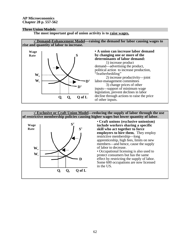### **Three Union Models**

**The most important goal of union activity is to raise wages.**



 **Exclusive or Craft Union Model—reducing the supply of labor through the use of restrictive membership policies causing higher wages but lower quantity of labor.**



• **Craft unions (exclusive unionism) include workers sharing a specific skill who act together to force employers to hire them.** They employ restrictive membership—long apprenticeship, high fees, limits on new members—and hence, cause the supply of labor to decrease.

• Occupational licensing is also used to protect consumers but has the same effect by restricting the supply of labor. Some 600 occupations are now licensed in the US.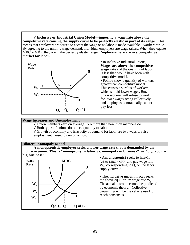**Inclusive or Industrial Union Model—imposing a wage rate above the competitive rate causing the supply curve to be perfectly elastic in part of its range.** This means that employers are forced to accept the wage or no labor is made available—workers strike. By agreeing to the union's wage demand, individual employers are wage takers. When they equate MRC = MRP, they are in the perfectly elastic range. **Employers here are in a competitive market for labor.**



• In Inclusive Industrial unions, **Wages are above the competitive wage rate** and the quantity of labor is less than would have been with competitive model. • Point e show a quantity of workers greater than competitive model. This causes a surplus of workers, which should lower wages. But, union workers will refuse to work for lower wages acting collectively and employers contractually cannot pay less.

### **Wage Increases and Unemployment**

 Union members earn on average 15% more than nonunion members do Both types of unions do reduce quantity of labor Growth of economy and Elasticity of demand for labor are two ways to raise employment caused by union action.

### **Bilateral Monopoly Model**

**A monopsonistic employer seeks a lower wage rate that is demanded by an inclusive union. This is "monopsony in labor vs. monopoly in business" or "big labor vs. big business"!**



• A **monosponist** seeks to hire  $Q_m$ (where MRC =MRP) and pay wage rate  $W_m$  corresponding to  $\bar{Q}_w$  on the labor supply curve S.

• The **inclusive union** it faces seeks the above equilibrium wage rate  $W_{\mu}$ . The actual outcome cannot be predicted by economic theory. Collective bargaining will be the vehicle used to reach consensus.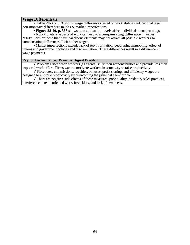### **Wage Differentials**

**• Table 28-3 p. 563** shows **wage differences** based on work abilities, educational level, non-monetary differences in jobs & market imperfections.

**• Figure 28-10, p. 565** shows how **education levels** affect individual annual earnings.

• Non-Monetary aspects of work can lead to a **compensating difference** in wages. "Dirty" jobs or those that have hazardous elements may not attract all possible workers so compensating differences illicit higher wages.

• Market imperfections include lack of job information, geographic immobility, effect of unions and government policies and discrimination. These differences result in a difference in wage payments.

### **Pay for Performance: Principal Agent Problem**

 Problem arises when workers (as agents) shirk their responsibilities and provide less than expected work effort. Firms want to motivate workers in some way to raise productivity.

 Piece rates, commissions, royalties, bonuses, profit sharing, and efficiency wages are designed to improve productivity by overcoming the principal agent problem.

 There are negative side effects of these measures: poor quality, predatory sales practices, interference in team oriented work, free-riders, and lack of new ideas.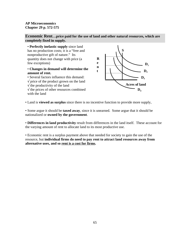### **AP Microeconomics Chapter 29 p. 572-575**

### **Economic Rent…price paid for the use of land and other natural resources, which are completely fixed in supply.**



• Land is **viewed as surplus** since there is no incentive function to provide more supply,

• Some argue it should be **taxed away**, since it is unearned. Some argue that it should be nationalized or **owned by the government**.

• **Differences in land productivity** result from differences in the land itself. These account for the varying amount of rent to allocate land to its most productive use.

• Economic rent is a surplus payment above that needed for society to gain the use of the resource, but **individual firms do need to pay rent to attract land resources away from alternative uses, and so rent is a cost for firms.**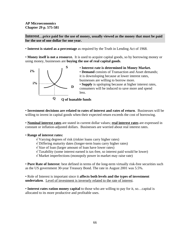**AP Microeconomics Chapter 29 p. 575-581**

**Interest…price paid for the use of money, usually viewed as the money that must be paid for the use of one dollar for one year.**

• **Interest is stated as a percentage** as required by the Truth in Lending Act of 1968.

• **Money itself is not a resource.** It is used to acquire capital goods, so by borrowing money or using money, businesses are **buying the use of real capital goods**.



**S** • **Interest rate is determined in Money Market.** • **Demand** consists of Transaction and Asset demands; it is downsloping because at lower interest rates, businesses are willing to borrow more.

> • **Supply** is upsloping because at higher interest rates, consumers will be induced to save more and spend less.

**Q of loanable funds**

• **Investment decisions are related to rates of interest and rates of return**. Businesses will be willing to invest in capital goods when their expected return exceeds the cost of borrowing.

• **Nominal interest rates** are stated in current dollar values; **real interest rates** are expressed in constant or inflation-adjusted dollars. Businesses are worried about real interest rates.

### • **Range of interest rates:**

 Varying degrees of risk (riskier loans carry higher rates) Differing maturity dates (longer-term loans carry higher rates) Size of loan (larger amount of loan have lower rates) Taxability (some interest earned is tax-free, so interest paid would be lower) Market imperfections (monopoly power in market may raise rate)

• **Pure Rate of Interest**: best defined in terms of the long-term virtually risk-free securities such as the US government 30-year Treasury Bond. The rate in August 2001 was 5.5%.

• Role of Interest is important since it **affects both levels and the types of investment undertaken**. Level of investment is inversely related to the rate of interest.

• **Interest rates ration money capital** to those who are willing to pay for it, so…capital is allocated to its more productive and profitable uses.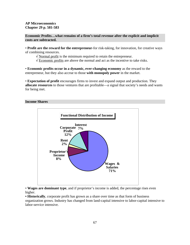### **AP Microeconomics Chapter 29 p. 581-583**

**Economic Profits…what remains of a firm's total revenue after the explicit and implicit costs are subtracted.**

• **Profit are the reward for the entrepreneur**-for risk-taking, for innovation, for creative ways of combining resources.

 Normal profit is the minimum required to retain the entrepreneur. Economic profits are above the normal and act as the incentive to take risks.

• **Economic profits occur in a dynamic, ever-changing economy** as the reward to the entrepreneur, but they also accrue to those **with monopoly power** in the market.

• **Expectation of profit** encourages firms to invest and expand output and production. They **allocate resources** to those ventures that are profitable—a signal that society's needs and wants for being met.

### **Income Shares**



• **Wages are dominant type**, and if proprietor's income is added, the percentage rises even higher.

**• Historically**, corporate profit has grown as a share over time as that form of business organization grows. Industry has changed from land-capital intensive to labor-capital intensive to labor-service intensive.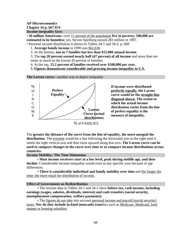### **AP Microeconomics Chapter 34 p. 667-674 Income inequality facts**

• **36 million Americans**--over 11 percent of the population **live in poverty; 500,000 are estimated to be homeless**; yet, Steven Spielberg earned 283 million in 1997.

• Personal income distribution is shown in Tables 34-1 and 34-2, p. 668

1. **Average family income** in 1999 was \$62,636

2. At the bottom, **one in 7 families has less than \$15,000 annual income**.

3. The **top 20 percent earned nearly half (47 percent) of all income** and more than ten

times as much as the lowest 20 percent of families.

4. At the top, **15.2 percent of families received over \$100,000 per year.**

**5. Figures demonstrate considerable and growing income inequality in U.S.**

#### **The Lorenz curve—**another way to depict inequality



**If income were distributed perfectly equally, the Lorenz curve would be the straight-line diagonal shown. The extent to which the actual income distribution varies from the line of perfect equality is the measure of inequality.**

The **greater the distance of the curve from the line of equality, the more unequal the distribution**. The extreme would be a line following the horizontal axis to the right until it meets the right vertical axis and then turns upward along that axis. **The Lorenz curve can be used to compare changes in the curve over time or to compare income distributions across countries.**

### **Income Mobility: The Time Dimension**

• **Most income receivers start at a low level, peak during middle age, and then decline.** Considerable income inequality would exist in any specific year because of age differences.

• **There is considerable individual and family mobility over time** and the longer the time; the more equal the distribution of income.

### **Effect of Government on Redistribution**

• The income data in Tables 34-1 and 34-2 show **before-tax, cash income, including earnings (wages, salaries, dividends, interest) and cash transfers (social security, unemployment compensation, welfare payments).**

• The figures do not take into account personal income and payroll (social security) taxes. **Nor do they include in-kind (noncash) trans**fers such as Medicare, Medicaid, food stamps or housing subsidies.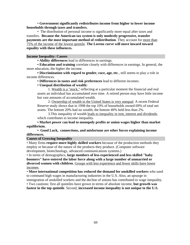• **Government significantly redistributes income from higher to lower income households through taxes and transfers.**

• The distribution of personal income is significantly more equal after taxes and transfers. **Because the American tax system is only modestly progressive, transfer payments are the most important method of redistribution**. They account for more than 75% of the income of the lowest quintile. **The Lorenz curve will move inward toward equality with these influences.**

### **Income Inequality: Causes**

**• Ability differences** lead to differences in earnings.

**• Education and training** correlate closely with differences in earnings. In general, the more education, the higher the income.

**• Discrimination with regard to gender, race, age, etc**., still seems to play a role in income differences.

**• Differences in tastes and risk preferences** lead to different incomes.

#### **• Unequal distribution of wealth:**

1. Wealth is a "stock," reflecting at a particular moment the financial and real assets an individual has accumulated over time. A retired person may have little income but vast amounts of accumulated wealth.

2. Ownership of wealth in the United States is very unequal. A recent Federal Reserve study shows that in 1998 the top 10% of households owned 69% of total net assets. The bottom 20% had no wealth; the bottom 40% held less than 2%.

3.This inequality of wealth leads to inequality in rent, interest and dividends, which contributes to income inequality.

**• Market power can lead to monopoly profits or union wages higher than market equilibrium.**

**• Good Luck, connections, and misfortune are other forces explaining income differences.**

### **Causes of Growing Inequality**

• Many firms **require more highly skilled workers** because of the production methods they employ or because of the nature of the products they produce. (Computer software development, biotechnology, advanced communications systems.)

• In terms of demographics, **large numbers of less experienced and less skilled "baby boomers" have entered the labor force along with a large number of unmarried or divorced women with children**. Groups with less experience and fewer skills have lower incomes.

• **More international competition has reduced the demand for unskilled workers** who used to command high wages in manufacturing industries in the U.S. Also, an upsurge in immigration of unskilled workers and the decline of unions has contributed to wage inequality.

• Two cautions: first all quintiles have grown in terms of absolute income, **but growth was fastest in the top quintile**. Second, **increased income inequality is not unique to the U.S.**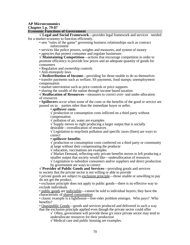### **AP Microeconomics**

### **Chapter 5 p. 79-87**

### **Economic Functions of Government**

 **Legal and Social Framework**—provides legal framework and services needed for a market economy to function efficiently.

- sets "rules of the game" governing business relationships such as contract enforcement
- services like police powers, weights and measures, and system of money
- agencies that protect consumer and regulate businesses

**Maintaining Competition—actions that encourage competition in order to** promote efficiency to provide low prices and an adequate quantity of goods for consumers

• Regulation and ownership controls

• Anti-monopoly laws

 **Redistribution of Income**—providing for those unable to do so themselves • transfer payments such as welfare, SS payments, food stamps; unemployment compensation

• market intervention such as price controls or price supports

• sharing the wealth of the nation through income based taxation

 **Reallocation of Resources**—measures to correct over- and under-allocation of resources

• **Spillovers** occur when some of the costs or the benefits of the good or service are passed on to parties other than the immediate buyer or seller.

**• spillover costs**

 production or consumption costs inflicted on a third party without compensation

pollution of air, water are examples

 Supply moves to right producing a larger output that is socially desirable—overallocation of resources

 Legislation to stop/limit pollution and specific taxes (fines) are ways to correct

**• spillover benefits**

 production or consumption costs conferred on a third party or community at large without their compensating the producer

education, vaccinations are examples

 Market Demand, reflecting only private benefits moves to left producing a smaller output that society would like—underallocation of resources

 Legislation to subsidize consumers and/or suppliers and direct production by government are ways to correct

 **Provider of Public Goods and Services**—providing goods and services to society that the private sector is not willing or able to provide

• private goods are subject to exclusion principle—those unable or unwilling to pay do not get the product.

• exclusion principle does not apply to public goods—there is no effective way to exclude individuals

• public goods are indivisible—cannot be sold to individual buyers; they have the characteristic of shared consumption

• classic example is a lighthouse—free-rider problem emerges. Who pays? Who benefits?

• Quasipublic Goods—goods and services produced and delivered in such a way that the exclusion principle applied even though the private sector could offer

 Often, government will provide these g/s since private sector may tend to underallocate resources for their production

Medical care and public housing are examples.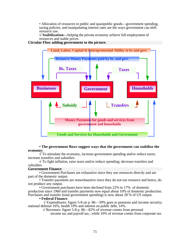• Allocation of resources to public and quasipublic goods—government spending, taxing policies, and manipulating interest rates are the ways government can shift resource use.

 **Stabilization—**helping the private economy achieve full employment of resources and stable prices.

**Circular Flow adding government to the picture**.



### **• The government flows suggest ways that the government can stabilize the economy:**

 To stimulate the economy, increase government spending and/or reduce taxes; increase transfers and subsidies.

 To fight inflation, raise taxes and/or reduce spending; decrease transfers and subsidies.

## **Government Finance**

• Government Purchases are exhaustive since they use resources directly and are part of the domestic output.

• Transfer payments are nonexhaustive since they do not use resource and hence, do not produce any output.

• Government purchases have been declined from 22% to 17% of domestic production since 1960 and transfer payments now equal about 10% of domestic production. Purchases and transfer (total government spending) is now about 28 % of US output.

### **• Federal Finance**:

 Expenditures: figure 5-8 on p. 86—39% goes to pensions and income security; national defense 16%, health 19% and interest on public debt, 14%.

 Revenues: figure 5-8 p. 86—82% of revenue comes from personal income tax and payroll tax., while 10% of revenue comes from corporate tax.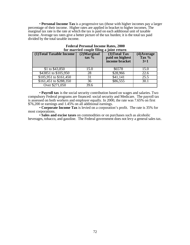• **Personal Income Tax** is a progressive tax (those with higher incomes pay a larger percentage of their income. Higher rates are applied in bracket to higher incomes. The marginal tax rate is the rate at which the tax is paid on each additional unit of taxable income. Average tax rates give a better picture of the tax burden; it is the total tax paid divided by the total taxable income.

| (1) Total Taxable Income | (2)Marginal<br>$\frac{1}{2}$ tax $\frac{1}{2}$ | (3) Total Tax<br>paid on highest<br>income bracket | (4)Average<br>Tax %<br>$3\div 1$ |
|--------------------------|------------------------------------------------|----------------------------------------------------|----------------------------------|
| \$1 to $$43,850$         | 15.0                                           | \$6578                                             | 15.0                             |
| \$43851 to \$105,950     | 28                                             | \$28,966                                           | 22.6                             |
| \$105,951 to \$161,450   | 31                                             | \$41,141                                           | 25.5                             |
| $$161,451$ to $$288,350$ | 36                                             | \$86,555                                           | 30.1                             |
| Over \$271,050           | 39.6                                           |                                                    |                                  |

**Federal Personal Income Rates, 2000 for married couple filing a joint return**

• **Payroll tax** is the social security contribution based on wages and salaries. Two compulsory Federal programs are financed: social security and Medicare. The payroll tax is assessed on both workers and employer equally. In 2000, the rate was 7.65% on first \$76,200 or earnings and 1.45% on all additional earnings.

• **Corporate Income Tax** is levied on a corporation's profit. The rate is 35% for most corporations.

• **Sales and excise taxes** on commodities or on purchases such as alcoholic beverages, tobacco, and gasoline. The Federal government does not levy a general sales tax.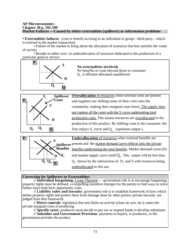# **AP Microeconomics Chapter 30 p. 592-599 Market Failures —Caused by either externalities (spillover) or information problems**

**• Externalities failures**: (cost or benefit accruing to an individual or group—third party—which is external to the market transaction)

• Failure of the market to bring about the allocation of resources that best satisfies the wants of society

• Results in either over- or underallocation of resources dedicated to the production of a particular good or service



# **No externalities involved:**

No benefits or costs beyond those to consumer  $Q<sub>e</sub>$  is efficient allocation equilibrium



**Overallocation** of resources when external costs are present and suppliers are shifting some of their costs onto the community, making their marginal costs lower. The supply does not capture all the costs with the S curve understating total production costs. This means resources are overallocated to the production of this product. By shifting costs to the consumer, the firm enjoys  $S_1$  curve and  $Q_{e_{1}}$  (optimum output).



# **Correcting for Spillovers or Externalities:**

**Individual bargaining**: Coase Theorem — government role is to encourage bargaining; property rights must be defined; a compelling incentive emerges for the parties to find ways to solve failure since both have opportunity costs.

**Liability rules and lawsuits**: government role is to establish framework of laws which define property rights and protect them from damage done by other parties; private lawsuits are judged from that framework

**Direct controls**: legislation that sets limits on activity (clean air acts, etc.); raises the private marginal costs of producing

**Specific taxes**: producers must decide to pay tax or expend funds to develop substitutes  **Subsidies and Government Provision**: payments to buyers, to producers, or the government provides the product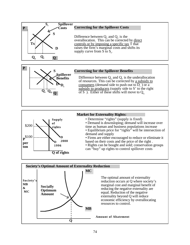



# **Market for Externality Rights:**

- Determine "rights" (supply is fixed)
- Demand is downsloping; demand will increase over
- time as human and business populations increase
- Equilibrium price for "rights" will be intersection of demand and supply
- Firms are either encouraged to reduce or eliminate it based on their costs and the price of the right .
- Rights can be bought and sold; conservation groups can "buy" up rights to control spillover costs

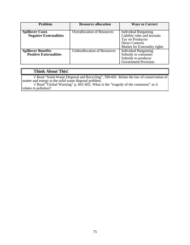| <b>Problem</b>                | <b>Resource allocation</b>          | <b>Ways to Correct</b>        |
|-------------------------------|-------------------------------------|-------------------------------|
|                               |                                     |                               |
| <b>Spillover Costs</b>        | <b>Overallocation</b> of Resources  | <b>Individual Bargaining</b>  |
| <b>Negative Externalities</b> |                                     | Liability rules and lawsuits  |
|                               |                                     | Tax on Producers              |
|                               |                                     | Direct Controls               |
|                               |                                     | Market for Externality rights |
| <b>Spillover Benefits</b>     | <b>Underallocation of Resources</b> | <b>Individual Bargaining</b>  |
| <b>Positive Externalities</b> |                                     | Subsidy to consumer           |
|                               |                                     | Subsidy to producer           |
|                               |                                     | <b>Government Provision</b>   |

| <b>Think About This!</b>                               |                                                                                       |
|--------------------------------------------------------|---------------------------------------------------------------------------------------|
| matter and energy to the solid waste disposal problem. | Read "Solid-Waste Disposal and Recycling", 599-601. Relate the law of conservation of |
| relates to pollution?                                  | Read "Global Warning" p. 601-602. What is the "tragedy of the commons" as it          |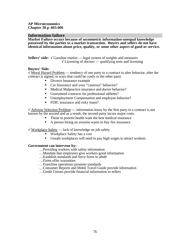### **Information failure**

**Market Failure occurs because of asymmetric information-unequal knowledge possessed by the parties to a market transaction. Buyers and sellers do not have identical information about price, quality, or some other aspect of good or service.**

| <b>Sellers' side:</b> Gasoline market — legal system of weights and measures |
|------------------------------------------------------------------------------|
| Licensing of doctors — qualifying tests and licensing                        |

### **Buyers' Side:**

 Moral Hazard Problem — tendency of one party to a contract to alter behavior, after the contract is signed, in ways that could be costly to the other party

- Divorce Insurance example
- Car Insurance and your "cautious" behavior?
- Medical Malpractice insurance and doctor behavior?
- Guaranteed contracts for professional athletes?
- Unemployment Compensation and employee behavior?
- **FDIC** insurance and risky loans?

 Adverse Selection Problem — information know by the first party to a contract is not known by the second and as a result, the second party incurs major costs.

- Those in poorest health want the best medical insurance
- A person hiring an arsonist wants to buy fire insurance

Workplace Safety — lack of knowledge on job safety

- $\blacksquare$  Workplace Safety has a cost
- $\blacksquare$  Unsafe workplaces will need to pay high wages to attract workers

### **Government can intervene by:**

- …Providing workers with safety information
- …Mandate that employers give workers good information
- …Establish standards and force firms to abide
- …Firms offer warranties
- …Franchise operations promote standards
- …Consumer Reports and Mobil Travel Guide provide information
- …Credit Unions provide financial information to sellers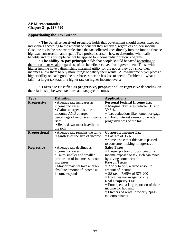#### **Apportioning the Tax Burden**

• **The benefits-received principle** holds that government should assess taxes on individuals according to the amount of benefits they received, regardless of their income. Gasoline tax is the best example since the tax collected goes directly into the fund to finance highway construction and repair. Two problems arise—how to determine who really benefits and this principle cannot be applied to income redistribution programs.

**• The ability-to-pay principle** holds that people should be taxed according to their income or wealth regardless of the benefits received from government. Those with higher income have a diminishing marginal utility for the goods they buy since their incomes allow them to buy more things to satisfy their wants. A low-income buyer places a higher utility on each good he purchases since he has less to spend. Problems—what is fair?—a larger tax total or a higher rate on higher income levels?

• **Taxes are classified as progressive, proportional or regressive** depending on the relationship between tax rates and taxpayer incomes.

| <b>Type</b>         | <b>Definition</b>                                                                                                                                                                                                | <b>Applications</b>                                                                                                                                                                                                                                                                                                                                                                                             |
|---------------------|------------------------------------------------------------------------------------------------------------------------------------------------------------------------------------------------------------------|-----------------------------------------------------------------------------------------------------------------------------------------------------------------------------------------------------------------------------------------------------------------------------------------------------------------------------------------------------------------------------------------------------------------|
| <b>Progressive</b>  | • Average rate increases as<br>income increases<br>• Claims a larger absolute                                                                                                                                    | <b>Personal Federal Income Tax</b><br>Marginal Tax rates between 15 and<br>39.6 %                                                                                                                                                                                                                                                                                                                               |
|                     | amounts AND a larger<br>percentage of income as income<br>rises<br>• Bears down most heavily on                                                                                                                  | Tax deductions like home mortgage<br>and bond interest exemption erode<br>progessiveness of the tax                                                                                                                                                                                                                                                                                                             |
| <b>Proportional</b> | the rich<br>• Average rate remains the same                                                                                                                                                                      | <b>Corporate Income Tax</b>                                                                                                                                                                                                                                                                                                                                                                                     |
|                     | regardless of the size of income                                                                                                                                                                                 | flat rate of 35%                                                                                                                                                                                                                                                                                                                                                                                                |
|                     |                                                                                                                                                                                                                  | some argue that this tax is passed                                                                                                                                                                                                                                                                                                                                                                              |
|                     |                                                                                                                                                                                                                  | to consumer making it regressive                                                                                                                                                                                                                                                                                                                                                                                |
| <b>Regressive</b>   | • Average rate declines as<br>income increases<br>• Takes smaller and smaller<br>proportion of income as income<br>increases<br>• May or may not take a larger<br>absolute amount of income as<br>income expands | <b>Sales Taxes</b><br>Larger portion of poor person's<br>income exposed to tax; rich can avoid<br>by saving some income<br><b>Payroll Taxes</b><br>Apply to only a fixed absolute<br>amount of income<br>SS tax—7.65% of \$76,200<br>Excludes non-wage income<br><b>Real Property Tax</b><br>Poor spend a larger portion of their<br>income for housing<br>Owners of rental property "pass"<br>tax onto tenants |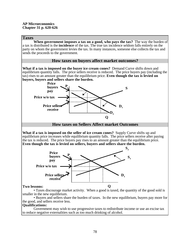#### **Taxes**

**When government imposes a tax on a good, who pays the tax?** The way the burden of a tax is distributed is the **incidence** of the tax. The true tax incidence seldom falls entirely on the party on whom the government levies the tax. In many instances, someone else collects the tax and sends the proceeds to the government.

### **How taxes on buyers affect market outcomes?**

**What if a tax is imposed on the buyer ice cream cones?** Demand Curve shifts down and equilibrium quantity falls. The price sellers receive is reduced. The price buyers pay (including the tax) rises to an amount greater than the equilibrium price. **Even though the tax is levied on buyers, buyers and sellers share the burden.**



### **Two lessons:**

• Taxes discourage market activity. When a good is taxed, the quantity of the good sold is smaller in the new equilibrium.

• Buyers and sellers share the burden of taxes. In the new equilibrium, buyers pay more for the good, and sellers receive less.

#### **Qualifications:**

Government may wish to use progressive taxes to redistribute income or use an excise tax to reduce negative externalities such as too much drinking of alcohol.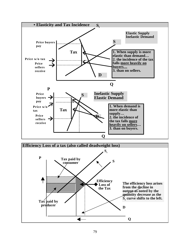